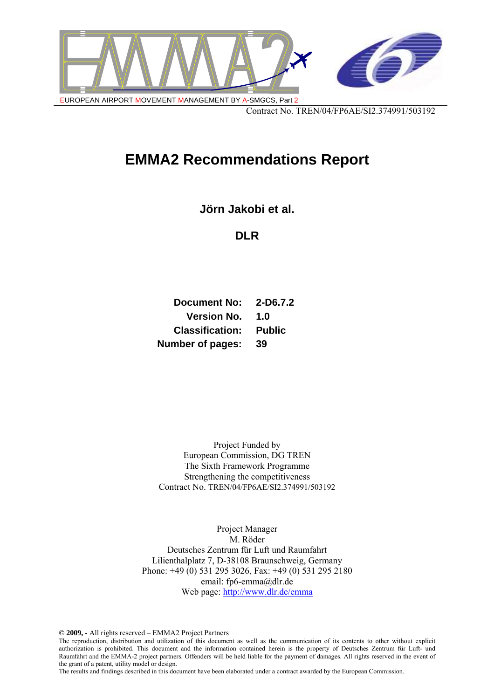

# **EMMA2 Recommendations Report**

**Jörn Jakobi et al.** 

**DLR** 

**Document No: 2-D6.7.2 Version No. 1.0 Classification: Public Number of pages: 39** 

Project Funded by European Commission, DG TREN The Sixth Framework Programme Strengthening the competitiveness Contract No. TREN/04/FP6AE/SI2.374991/503192

Project Manager M. Röder Deutsches Zentrum für Luft und Raumfahrt Lilienthalplatz 7, D-38108 Braunschweig, Germany Phone: +49 (0) 531 295 3026, Fax: +49 (0) 531 295 2180 email: fp6-emma@dlr.de Web page: http://www.dlr.de/emma

**© 2009, -** All rights reserved – EMMA2 Project Partners

The reproduction, distribution and utilization of this document as well as the communication of its contents to other without explicit authorization is prohibited. This document and the information contained herein is the property of Deutsches Zentrum für Luft- und Raumfahrt and the EMMA-2 project partners. Offenders will be held liable for the payment of damages. All rights reserved in the event of the grant of a patent, utility model or design.

The results and findings described in this document have been elaborated under a contract awarded by the European Commission.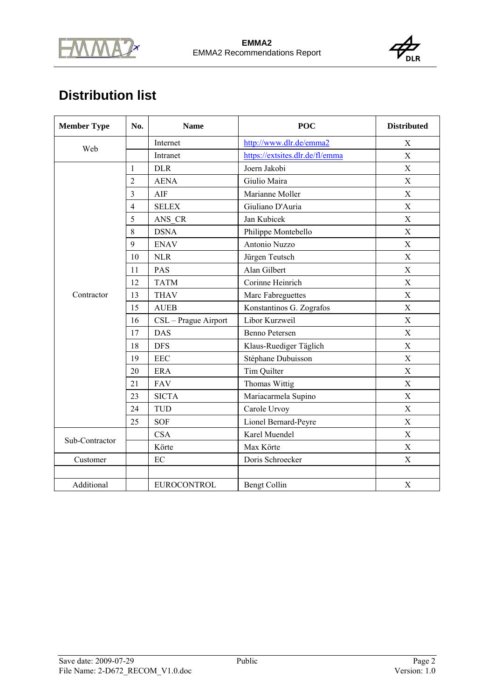



# **Distribution list**

| <b>Member Type</b><br>No. |                | <b>Name</b>          | <b>POC</b>                      | <b>Distributed</b>        |
|---------------------------|----------------|----------------------|---------------------------------|---------------------------|
| Web                       |                | Internet             | http://www.dlr.de/emma2         | X                         |
|                           |                | Intranet             | https://extsites.dlr.de/fl/emma | $\boldsymbol{\mathrm{X}}$ |
|                           | 1              | <b>DLR</b>           | Joern Jakobi                    | $\boldsymbol{\mathrm{X}}$ |
|                           | $\overline{2}$ | <b>AENA</b>          | Giulio Maira                    | X                         |
|                           | 3              | AIF                  | Marianne Moller                 | X                         |
|                           | $\overline{4}$ | <b>SELEX</b>         | Giuliano D'Auria                | X                         |
|                           | 5              | ANS CR               | Jan Kubicek                     | X                         |
|                           | 8              | <b>DSNA</b>          | Philippe Montebello             | $\boldsymbol{\mathrm{X}}$ |
|                           | 9              | <b>ENAV</b>          | Antonio Nuzzo                   | $\boldsymbol{\mathrm{X}}$ |
|                           | 10             | <b>NLR</b>           | Jürgen Teutsch                  | X                         |
|                           | 11             | PAS                  | Alan Gilbert                    | $\boldsymbol{\mathrm{X}}$ |
|                           | 12             | <b>TATM</b>          | Corinne Heinrich                | X                         |
| Contractor                | 13             | <b>THAV</b>          | Marc Fabreguettes               | $\boldsymbol{\mathrm{X}}$ |
|                           | 15             | <b>AUEB</b>          | Konstantinos G. Zografos        | $\mathbf X$               |
|                           | 16             | CSL - Prague Airport | Libor Kurzweil                  | X                         |
|                           | 17             | <b>DAS</b>           | <b>Benno Petersen</b>           | X                         |
|                           | 18             | <b>DFS</b>           | Klaus-Ruediger Täglich          | X                         |
|                           | 19             | <b>EEC</b>           | Stéphane Dubuisson              | X                         |
|                           | 20             | <b>ERA</b>           | Tim Quilter                     | X                         |
|                           | 21             | <b>FAV</b>           | Thomas Wittig                   | X                         |
|                           | 23             | <b>SICTA</b>         | Mariacarmela Supino             | $\boldsymbol{\mathrm{X}}$ |
|                           | 24             | <b>TUD</b>           | Carole Urvoy                    | X                         |
|                           | 25             | <b>SOF</b>           | Lionel Bernard-Peyre            | $\boldsymbol{\mathrm{X}}$ |
| Sub-Contractor            |                | <b>CSA</b>           | Karel Muendel                   | $\boldsymbol{\mathrm{X}}$ |
|                           |                | Körte                | Max Körte                       | X                         |
| Customer                  |                | EC                   | Doris Schroecker                | X                         |
|                           |                |                      |                                 |                           |
| Additional                |                | <b>EUROCONTROL</b>   | <b>Bengt Collin</b>             | X                         |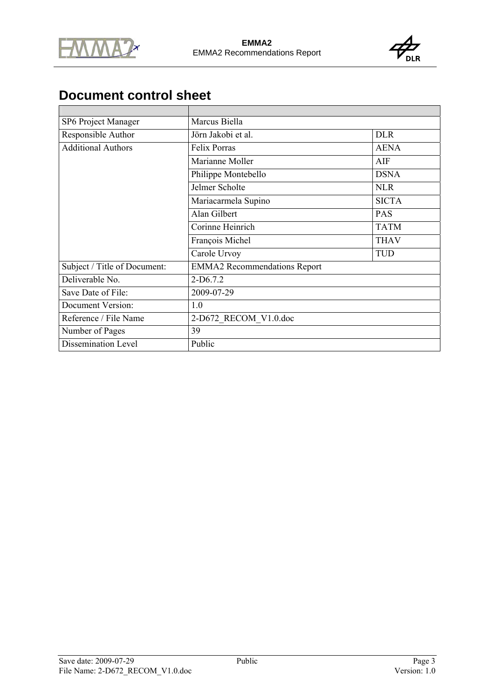



# **Document control sheet**

| SP6 Project Manager          | Marcus Biella                       |              |
|------------------------------|-------------------------------------|--------------|
| Responsible Author           | Jörn Jakobi et al.                  | <b>DLR</b>   |
| <b>Additional Authors</b>    | <b>Felix Porras</b>                 | <b>AENA</b>  |
|                              | Marianne Moller                     | AIF          |
|                              | Philippe Montebello                 | <b>DSNA</b>  |
|                              | Jelmer Scholte                      | <b>NLR</b>   |
|                              | Mariacarmela Supino                 | <b>SICTA</b> |
|                              | Alan Gilbert                        | PAS          |
|                              | Corinne Heinrich                    | <b>TATM</b>  |
|                              | François Michel                     | <b>THAV</b>  |
|                              | Carole Urvoy                        | <b>TUD</b>   |
| Subject / Title of Document: | <b>EMMA2</b> Recommendations Report |              |
| Deliverable No.              | $2-D6.7.2$                          |              |
| Save Date of File:           | 2009-07-29                          |              |
| Document Version:            | 1.0                                 |              |
| Reference / File Name        | 2-D672 RECOM V1.0.doc               |              |
| Number of Pages              | 39                                  |              |
| Dissemination Level          | Public                              |              |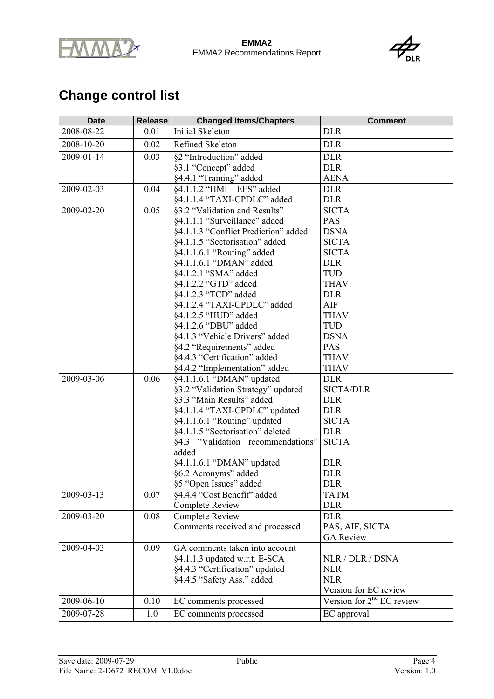



# **Change control list**

| <b>Date</b> | Release | <b>Changed Items/Chapters</b>        | <b>Comment</b>              |
|-------------|---------|--------------------------------------|-----------------------------|
| 2008-08-22  | 0.01    | <b>Initial Skeleton</b>              | <b>DLR</b>                  |
| 2008-10-20  | 0.02    | Refined Skeleton                     | <b>DLR</b>                  |
| 2009-01-14  | 0.03    | §2 "Introduction" added              | <b>DLR</b>                  |
|             |         | §3.1 "Concept" added                 | <b>DLR</b>                  |
|             |         | §4.4.1 "Training" added              | <b>AENA</b>                 |
| 2009-02-03  | 0.04    | §4.1.1.2 "HMI - EFS" added           | <b>DLR</b>                  |
|             |         | §4.1.1.4 "TAXI-CPDLC" added          | <b>DLR</b>                  |
| 2009-02-20  | 0.05    | §3.2 "Validation and Results"        | <b>SICTA</b>                |
|             |         | §4.1.1.1 "Surveillance" added        | PAS                         |
|             |         | §4.1.1.3 "Conflict Prediction" added | <b>DSNA</b>                 |
|             |         | §4.1.1.5 "Sectorisation" added       | <b>SICTA</b>                |
|             |         | §4.1.1.6.1 "Routing" added           | <b>SICTA</b>                |
|             |         | §4.1.1.6.1 "DMAN" added              | <b>DLR</b>                  |
|             |         | §4.1.2.1 "SMA" added                 | TUD                         |
|             |         | §4.1.2.2 "GTD" added                 | <b>THAV</b>                 |
|             |         | §4.1.2.3 "TCD" added                 | <b>DLR</b>                  |
|             |         | §4.1.2.4 "TAXI-CPDLC" added          | AIF                         |
|             |         | §4.1.2.5 "HUD" added                 | <b>THAV</b>                 |
|             |         | §4.1.2.6 "DBU" added                 | <b>TUD</b>                  |
|             |         | §4.1.3 "Vehicle Drivers" added       | <b>DSNA</b>                 |
|             |         | §4.2 "Requirements" added            | PAS                         |
|             |         | §4.4.3 "Certification" added         | <b>THAV</b>                 |
|             |         | §4.4.2 "Implementation" added        | <b>THAV</b>                 |
| 2009-03-06  | 0.06    | §4.1.1.6.1 "DMAN" updated            | <b>DLR</b>                  |
|             |         | §3.2 "Validation Strategy" updated   | <b>SICTA/DLR</b>            |
|             |         | §3.3 "Main Results" added            | <b>DLR</b>                  |
|             |         | §4.1.1.4 "TAXI-CPDLC" updated        | <b>DLR</b>                  |
|             |         | §4.1.1.6.1 "Routing" updated         | <b>SICTA</b>                |
|             |         | §4.1.1.5 "Sectorisation" deleted     | <b>DLR</b>                  |
|             |         | §4.3 "Validation recommendations"    | <b>SICTA</b>                |
|             |         | added                                |                             |
|             |         | §4.1.1.6.1 "DMAN" updated            | <b>DLR</b>                  |
|             |         | §6.2 Acronyms" added                 | <b>DLR</b>                  |
|             |         | §5 "Open Issues" added               | <b>DLR</b>                  |
| 2009-03-13  | 0.07    | §4.4.4 "Cost Benefit" added          | <b>TATM</b>                 |
|             |         | <b>Complete Review</b>               | <b>DLR</b>                  |
| 2009-03-20  | 0.08    | <b>Complete Review</b>               | <b>DLR</b>                  |
|             |         | Comments received and processed      | PAS, AIF, SICTA             |
|             |         |                                      | <b>GA Review</b>            |
| 2009-04-03  | 0.09    | GA comments taken into account       |                             |
|             |         | §4.1.1.3 updated w.r.t. E-SCA        | NLR / DLR / DSNA            |
|             |         | §4.4.3 "Certification" updated       | <b>NLR</b>                  |
|             |         | §4.4.5 "Safety Ass." added           | <b>NLR</b>                  |
|             |         |                                      | Version for EC review       |
| 2009-06-10  | 0.10    | EC comments processed                | Version for $2nd$ EC review |
| 2009-07-28  | 1.0     | EC comments processed                | EC approval                 |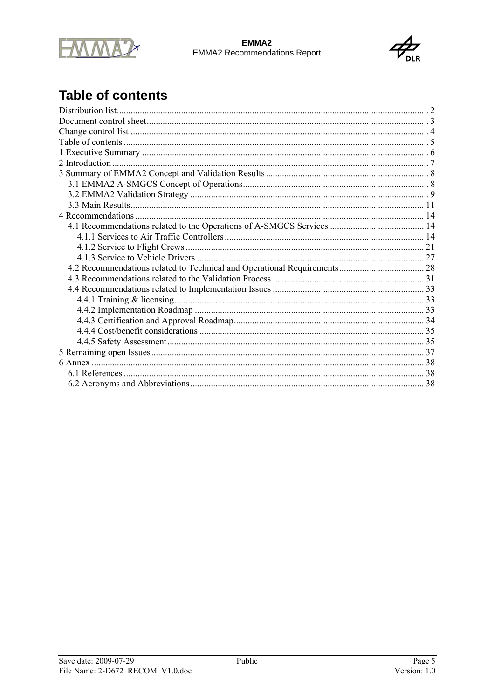



# **Table of contents**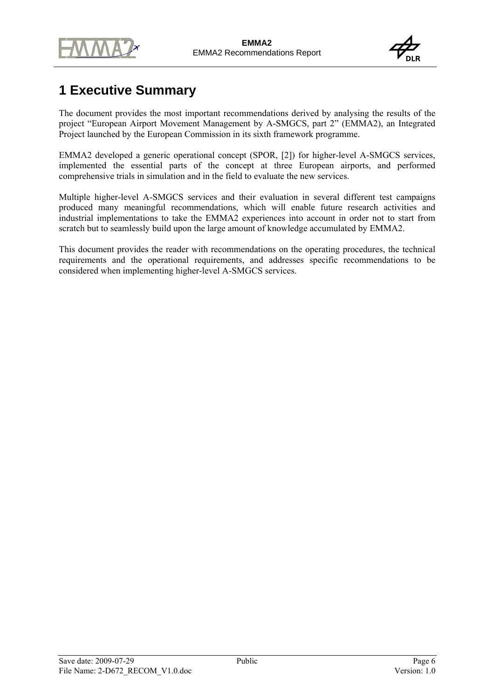



# **1 Executive Summary**

The document provides the most important recommendations derived by analysing the results of the project "European Airport Movement Management by A-SMGCS, part 2" (EMMA2), an Integrated Project launched by the European Commission in its sixth framework programme.

EMMA2 developed a generic operational concept (SPOR, [2]) for higher-level A-SMGCS services, implemented the essential parts of the concept at three European airports, and performed comprehensive trials in simulation and in the field to evaluate the new services.

Multiple higher-level A-SMGCS services and their evaluation in several different test campaigns produced many meaningful recommendations, which will enable future research activities and industrial implementations to take the EMMA2 experiences into account in order not to start from scratch but to seamlessly build upon the large amount of knowledge accumulated by EMMA2.

This document provides the reader with recommendations on the operating procedures, the technical requirements and the operational requirements, and addresses specific recommendations to be considered when implementing higher-level A-SMGCS services.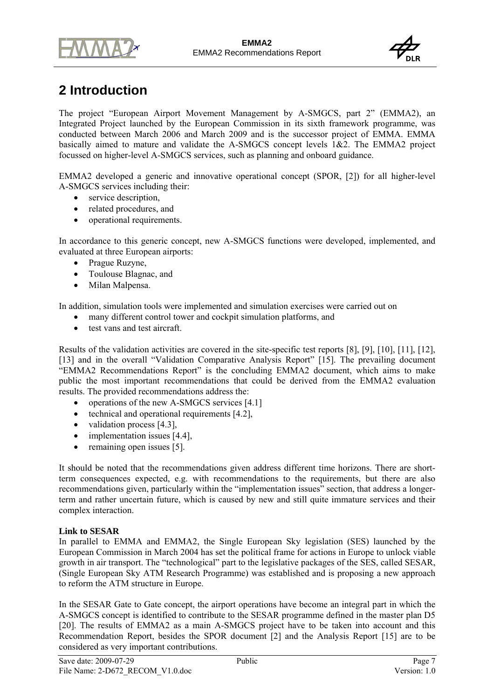



# **2 Introduction**

The project "European Airport Movement Management by A-SMGCS, part 2" (EMMA2), an Integrated Project launched by the European Commission in its sixth framework programme, was conducted between March 2006 and March 2009 and is the successor project of EMMA. EMMA basically aimed to mature and validate the A-SMGCS concept levels 1&2. The EMMA2 project focussed on higher-level A-SMGCS services, such as planning and onboard guidance.

EMMA2 developed a generic and innovative operational concept (SPOR, [2]) for all higher-level A-SMGCS services including their:

- service description.
- related procedures, and
- operational requirements.

In accordance to this generic concept, new A-SMGCS functions were developed, implemented, and evaluated at three European airports:

- Prague Ruzyne,
- Toulouse Blagnac, and
- Milan Malpensa.

In addition, simulation tools were implemented and simulation exercises were carried out on

- many different control tower and cockpit simulation platforms, and
- test vans and test aircraft.

Results of the validation activities are covered in the site-specific test reports [8], [9], [10], [11], [12], [13] and in the overall "Validation Comparative Analysis Report" [15]. The prevailing document "EMMA2 Recommendations Report" is the concluding EMMA2 document, which aims to make public the most important recommendations that could be derived from the EMMA2 evaluation results. The provided recommendations address the:

- operations of the new A-SMGCS services [4.1]
- technical and operational requirements [4.2],
- validation process [4.3],
- implementation issues [4.4],
- remaining open issues [5].

It should be noted that the recommendations given address different time horizons. There are shortterm consequences expected, e.g. with recommendations to the requirements, but there are also recommendations given, particularly within the "implementation issues" section, that address a longerterm and rather uncertain future, which is caused by new and still quite immature services and their complex interaction.

#### **Link to SESAR**

In parallel to EMMA and EMMA2, the Single European Sky legislation (SES) launched by the European Commission in March 2004 has set the political frame for actions in Europe to unlock viable growth in air transport. The "technological" part to the legislative packages of the SES, called SESAR, (Single European Sky ATM Research Programme) was established and is proposing a new approach to reform the ATM structure in Europe.

In the SESAR Gate to Gate concept, the airport operations have become an integral part in which the A-SMGCS concept is identified to contribute to the SESAR programme defined in the master plan D5 [20]. The results of EMMA2 as a main A-SMGCS project have to be taken into account and this Recommendation Report, besides the SPOR document [2] and the Analysis Report [15] are to be considered as very important contributions.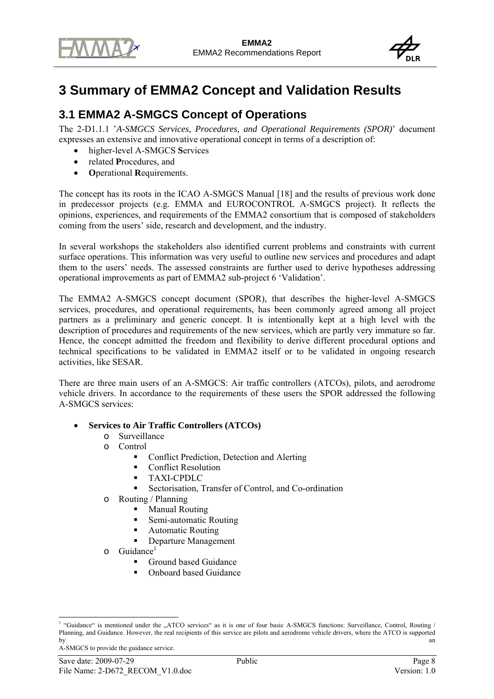



# **3 Summary of EMMA2 Concept and Validation Results**

# **3.1 EMMA2 A-SMGCS Concept of Operations**

The 2-D1.1.1 '*A-SMGCS Services, Procedures, and Operational Requirements (SPOR)*' document expresses an extensive and innovative operational concept in terms of a description of:

- higher-level A-SMGCS **S**ervices
- related **P**rocedures, and
- **O**perational **R**equirements.

The concept has its roots in the ICAO A-SMGCS Manual [18] and the results of previous work done in predecessor projects (e.g. EMMA and EUROCONTROL A-SMGCS project). It reflects the opinions, experiences, and requirements of the EMMA2 consortium that is composed of stakeholders coming from the users' side, research and development, and the industry.

In several workshops the stakeholders also identified current problems and constraints with current surface operations. This information was very useful to outline new services and procedures and adapt them to the users' needs. The assessed constraints are further used to derive hypotheses addressing operational improvements as part of EMMA2 sub-project 6 'Validation'.

The EMMA2 A-SMGCS concept document (SPOR), that describes the higher-level A-SMGCS services, procedures, and operational requirements, has been commonly agreed among all project partners as a preliminary and generic concept. It is intentionally kept at a high level with the description of procedures and requirements of the new services, which are partly very immature so far. Hence, the concept admitted the freedom and flexibility to derive different procedural options and technical specifications to be validated in EMMA2 itself or to be validated in ongoing research activities, like SESAR.

There are three main users of an A-SMGCS: Air traffic controllers (ATCOs), pilots, and aerodrome vehicle drivers. In accordance to the requirements of these users the SPOR addressed the following A-SMGCS services:

#### • **Services to Air Traffic Controllers (ATCOs)**

- o Surveillance
- o Control
	- Conflict Prediction, Detection and Alerting
	- Conflict Resolution
	- TAXI-CPDLC
	- Sectorisation, Transfer of Control, and Co-ordination
- o Routing / Planning
	- **Manual Routing**
	- Semi-automatic Routing
	- **Automatic Routing**
	- Departure Management
- o Guidance<sup>1</sup>
	- Ground based Guidance
	- Onboard based Guidance

A-SMGCS to provide the guidance service.

<sup>&</sup>lt;sup>1</sup> "Guidance" is mentioned under the "ATCO services" as it is one of four basic A-SMGCS functions: Surveillance, Control, Routing / Planning, and Guidance. However, the real recipients of this service are pilots and aerodrome vehicle drivers, where the ATCO is supported by an an analyzing the state of the state of the state of the state of the state of the state of the state of the state of the state of the state of the state of the state of the state of the state of the state of the stat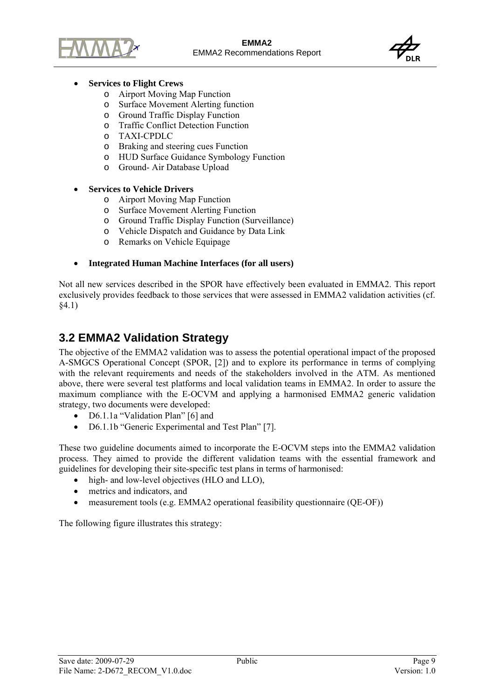



#### • **Services to Flight Crews**

- o Airport Moving Map Function
- o Surface Movement Alerting function
- o Ground Traffic Display Function
- o Traffic Conflict Detection Function
- o TAXI-CPDLC
- o Braking and steering cues Function
- o HUD Surface Guidance Symbology Function
- o Ground- Air Database Upload
- **Services to Vehicle Drivers** 
	- o Airport Moving Map Function
	- o Surface Movement Alerting Function
	- o Ground Traffic Display Function (Surveillance)
	- o Vehicle Dispatch and Guidance by Data Link
	- o Remarks on Vehicle Equipage
- **Integrated Human Machine Interfaces (for all users)**

Not all new services described in the SPOR have effectively been evaluated in EMMA2. This report exclusively provides feedback to those services that were assessed in EMMA2 validation activities (cf. §4.1)

## **3.2 EMMA2 Validation Strategy**

The objective of the EMMA2 validation was to assess the potential operational impact of the proposed A-SMGCS Operational Concept (SPOR, [2]) and to explore its performance in terms of complying with the relevant requirements and needs of the stakeholders involved in the ATM. As mentioned above, there were several test platforms and local validation teams in EMMA2. In order to assure the maximum compliance with the E-OCVM and applying a harmonised EMMA2 generic validation strategy, two documents were developed:

- D6.1.1a "Validation Plan" [6] and
- D6.1.1b "Generic Experimental and Test Plan" [7].

These two guideline documents aimed to incorporate the E-OCVM steps into the EMMA2 validation process. They aimed to provide the different validation teams with the essential framework and guidelines for developing their site-specific test plans in terms of harmonised:

- high- and low-level objectives (HLO and LLO),
- metrics and indicators, and
- measurement tools (e.g. EMMA2 operational feasibility questionnaire (QE-OF))

The following figure illustrates this strategy: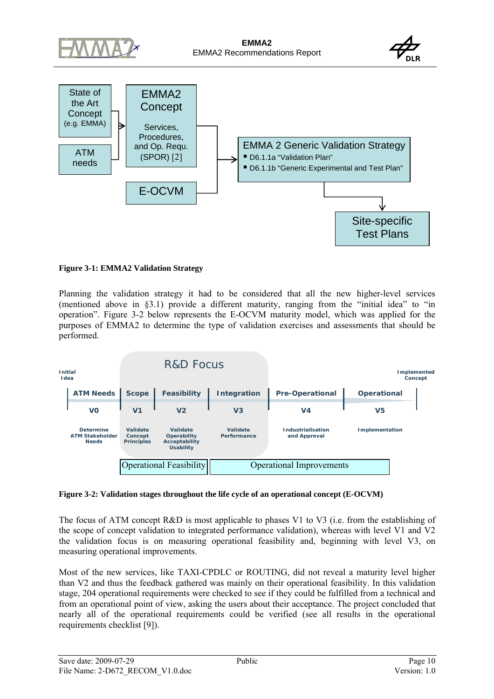



#### **Figure 3-1: EMMA2 Validation Strategy**

Planning the validation strategy it had to be considered that all the new higher-level services (mentioned above in §3.1) provide a different maturity, ranging from the "initial idea" to "in operation". Figure 3-2 below represents the E-OCVM maturity model, which was applied for the purposes of EMMA2 to determine the type of validation exercises and assessments that should be performed.

| <b>Initial</b><br>I dea                                    |                                          | <b>R&amp;D Focus</b>                                         |                         |                                   |                    | <b>Implemented</b><br>Concept |
|------------------------------------------------------------|------------------------------------------|--------------------------------------------------------------|-------------------------|-----------------------------------|--------------------|-------------------------------|
| <b>ATM Needs</b>                                           | <b>Scope</b>                             | <b>Feasibility</b>                                           | Integration             | <b>Pre-Operational</b>            | <b>Operational</b> |                               |
| VO                                                         | V <sub>1</sub>                           | V <sub>2</sub>                                               | V <sub>3</sub>          | V <sub>4</sub>                    | V5                 |                               |
| <b>Determine</b><br><b>ATM Stakeholder</b><br><b>Needs</b> | Validate<br>Concept<br><b>Principles</b> | Validate<br>Operability<br>Acceptability<br><b>Usability</b> | Validate<br>Performance | Industrialisation<br>and Approval | Implementation     |                               |
|                                                            |                                          | <b>Operational Feasibility</b>                               |                         | <b>Operational Improvements</b>   |                    |                               |

#### **Figure 3-2: Validation stages throughout the life cycle of an operational concept (E-OCVM)**

The focus of ATM concept R&D is most applicable to phases V1 to V3 (i.e. from the establishing of the scope of concept validation to integrated performance validation), whereas with level V1 and V2 the validation focus is on measuring operational feasibility and, beginning with level V3, on measuring operational improvements.

Most of the new services, like TAXI-CPDLC or ROUTING, did not reveal a maturity level higher than V2 and thus the feedback gathered was mainly on their operational feasibility. In this validation stage, 204 operational requirements were checked to see if they could be fulfilled from a technical and from an operational point of view, asking the users about their acceptance. The project concluded that nearly all of the operational requirements could be verified (see all results in the operational requirements checklist [9]).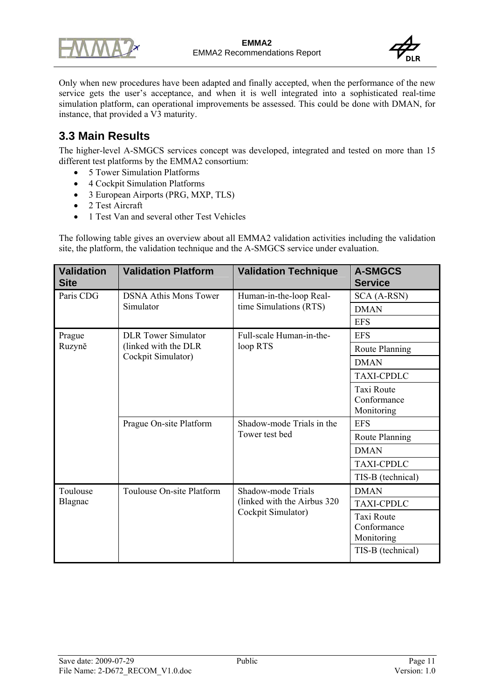



Only when new procedures have been adapted and finally accepted, when the performance of the new service gets the user's acceptance, and when it is well integrated into a sophisticated real-time simulation platform, can operational improvements be assessed. This could be done with DMAN, for instance, that provided a V3 maturity.

# **3.3 Main Results**

The higher-level A-SMGCS services concept was developed, integrated and tested on more than 15 different test platforms by the EMMA2 consortium:

- 5 Tower Simulation Platforms
- 4 Cockpit Simulation Platforms
- 3 European Airports (PRG, MXP, TLS)
- 2 Test Aircraft
- 1 Test Van and several other Test Vehicles

The following table gives an overview about all EMMA2 validation activities including the validation site, the platform, the validation technique and the A-SMGCS service under evaluation.

| <b>Validation</b><br><b>Site</b> | <b>Validation Platform</b>   | <b>Validation Technique</b>                        | <b>A-SMGCS</b><br><b>Service</b>               |
|----------------------------------|------------------------------|----------------------------------------------------|------------------------------------------------|
| Paris CDG                        | <b>DSNA Athis Mons Tower</b> | Human-in-the-loop Real-                            | SCA (A-RSN)                                    |
|                                  | Simulator                    | time Simulations (RTS)                             | <b>DMAN</b>                                    |
|                                  |                              |                                                    | <b>EFS</b>                                     |
| Prague                           | <b>DLR</b> Tower Simulator   | Full-scale Human-in-the-                           | <b>EFS</b>                                     |
| Ruzyně                           | (linked with the DLR)        | loop RTS                                           | Route Planning                                 |
|                                  | Cockpit Simulator)           |                                                    | <b>DMAN</b>                                    |
|                                  |                              |                                                    | <b>TAXI-CPDLC</b>                              |
|                                  |                              |                                                    | Taxi Route<br>Conformance<br>Monitoring        |
|                                  | Prague On-site Platform      | Shadow-mode Trials in the                          | <b>EFS</b>                                     |
|                                  |                              | Tower test bed                                     | Route Planning                                 |
|                                  |                              |                                                    | <b>DMAN</b>                                    |
|                                  |                              |                                                    | <b>TAXI-CPDLC</b>                              |
|                                  |                              |                                                    | TIS-B (technical)                              |
| Toulouse                         | Toulouse On-site Platform    | Shadow-mode Trials                                 | <b>DMAN</b>                                    |
| Blagnac                          |                              | (linked with the Airbus 320)<br>Cockpit Simulator) | <b>TAXI-CPDLC</b>                              |
|                                  |                              |                                                    | <b>Taxi Route</b><br>Conformance<br>Monitoring |
|                                  |                              |                                                    | TIS-B (technical)                              |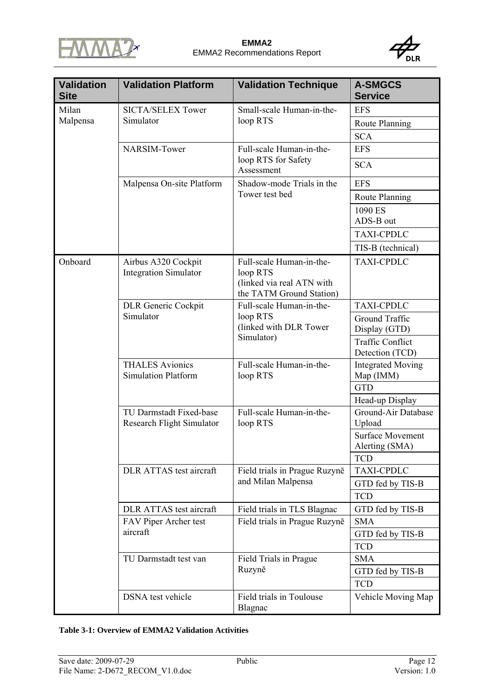



| <b>Validation</b><br><b>Site</b> | <b>Validation Platform</b>                                  | <b>Validation Technique</b>                                                                   | <b>A-SMGCS</b><br><b>Service</b>           |
|----------------------------------|-------------------------------------------------------------|-----------------------------------------------------------------------------------------------|--------------------------------------------|
| Milan                            | <b>SICTA/SELEX Tower</b>                                    | Small-scale Human-in-the-                                                                     | <b>EFS</b>                                 |
| Malpensa                         | Simulator                                                   | loop RTS                                                                                      | Route Planning                             |
|                                  |                                                             |                                                                                               | <b>SCA</b>                                 |
|                                  | NARSIM-Tower                                                | Full-scale Human-in-the-                                                                      | <b>EFS</b>                                 |
|                                  |                                                             | loop RTS for Safety<br>Assessment                                                             | <b>SCA</b>                                 |
|                                  | Malpensa On-site Platform                                   | Shadow-mode Trials in the                                                                     | <b>EFS</b>                                 |
|                                  |                                                             | Tower test bed                                                                                | Route Planning                             |
|                                  |                                                             |                                                                                               | 1090 ES<br>ADS-B out                       |
|                                  |                                                             |                                                                                               | <b>TAXI-CPDLC</b>                          |
|                                  |                                                             |                                                                                               | TIS-B (technical)                          |
| Onboard                          | Airbus A320 Cockpit<br><b>Integration Simulator</b>         | Full-scale Human-in-the-<br>loop RTS<br>(linked via real ATN with<br>the TATM Ground Station) | <b>TAXI-CPDLC</b>                          |
|                                  | <b>DLR</b> Generic Cockpit                                  | Full-scale Human-in-the-                                                                      | <b>TAXI-CPDLC</b>                          |
|                                  | Simulator                                                   | loop RTS<br>(linked with DLR Tower<br>Simulator)                                              | Ground Traffic<br>Display (GTD)            |
|                                  |                                                             |                                                                                               | <b>Traffic Conflict</b><br>Detection (TCD) |
|                                  | <b>THALES Avionics</b><br><b>Simulation Platform</b>        | Full-scale Human-in-the-<br>loop RTS<br>Full-scale Human-in-the-<br>loop RTS                  | <b>Integrated Moving</b><br>Map (IMM)      |
|                                  |                                                             |                                                                                               | <b>GTD</b>                                 |
|                                  |                                                             |                                                                                               | Head-up Display                            |
|                                  | TU Darmstadt Fixed-base<br><b>Research Flight Simulator</b> |                                                                                               | Ground-Air Database<br>Upload              |
|                                  |                                                             |                                                                                               | <b>Surface Movement</b><br>Alerting (SMA)  |
|                                  |                                                             |                                                                                               | <b>TCD</b>                                 |
|                                  | DLR ATTAS test aircraft                                     | Field trials in Prague Ruzyně                                                                 | <b>TAXI-CPDLC</b>                          |
|                                  |                                                             | and Milan Malpensa                                                                            | GTD fed by TIS-B                           |
|                                  |                                                             |                                                                                               | <b>TCD</b>                                 |
|                                  | DLR ATTAS test aircraft                                     | Field trials in TLS Blagnac                                                                   | GTD fed by TIS-B                           |
|                                  | FAV Piper Archer test                                       | Field trials in Prague Ruzyně                                                                 | <b>SMA</b>                                 |
|                                  | aircraft                                                    |                                                                                               | GTD fed by TIS-B                           |
|                                  |                                                             |                                                                                               | <b>TCD</b>                                 |
|                                  | TU Darmstadt test van                                       | Field Trials in Prague<br>Ruzyně                                                              | <b>SMA</b>                                 |
|                                  |                                                             |                                                                                               | GTD fed by TIS-B                           |
|                                  |                                                             |                                                                                               | <b>TCD</b>                                 |
|                                  | <b>DSNA</b> test vehicle                                    | Field trials in Toulouse<br>Blagnac                                                           | Vehicle Moving Map                         |

#### **Table 3-1: Overview of EMMA2 Validation Activities**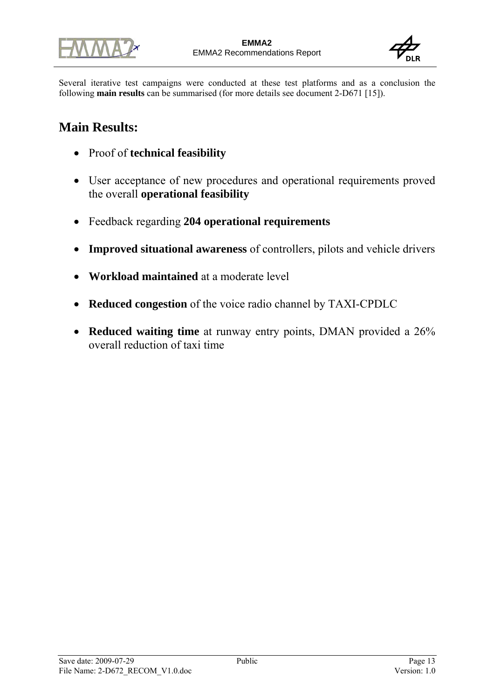



Several iterative test campaigns were conducted at these test platforms and as a conclusion the following **main results** can be summarised (for more details see document 2-D671 [15]).

# **Main Results:**

- Proof of **technical feasibility**
- User acceptance of new procedures and operational requirements proved the overall **operational feasibility**
- Feedback regarding **204 operational requirements**
- **Improved situational awareness** of controllers, pilots and vehicle drivers
- **Workload maintained** at a moderate level
- **Reduced congestion** of the voice radio channel by TAXI-CPDLC
- **Reduced waiting time** at runway entry points, DMAN provided a 26% overall reduction of taxi time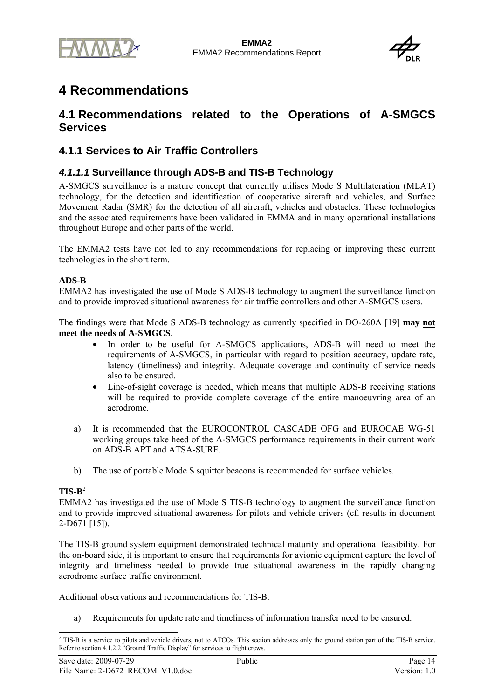

# **4 Recommendations**

## **4.1 Recommendations related to the Operations of A-SMGCS Services**

## **4.1.1 Services to Air Traffic Controllers**

## *4.1.1.1* **Surveillance through ADS-B and TIS-B Technology**

A-SMGCS surveillance is a mature concept that currently utilises Mode S Multilateration (MLAT) technology, for the detection and identification of cooperative aircraft and vehicles, and Surface Movement Radar (SMR) for the detection of all aircraft, vehicles and obstacles. These technologies and the associated requirements have been validated in EMMA and in many operational installations throughout Europe and other parts of the world.

The EMMA2 tests have not led to any recommendations for replacing or improving these current technologies in the short term.

#### **ADS-B**

EMMA2 has investigated the use of Mode S ADS-B technology to augment the surveillance function and to provide improved situational awareness for air traffic controllers and other A-SMGCS users.

The findings were that Mode S ADS-B technology as currently specified in DO-260A [19] **may not meet the needs of A-SMGCS**.

- In order to be useful for A-SMGCS applications, ADS-B will need to meet the requirements of A-SMGCS, in particular with regard to position accuracy, update rate, latency (timeliness) and integrity. Adequate coverage and continuity of service needs also to be ensured.
- Line-of-sight coverage is needed, which means that multiple ADS-B receiving stations will be required to provide complete coverage of the entire manoeuvring area of an aerodrome.
- a) It is recommended that the EUROCONTROL CASCADE OFG and EUROCAE WG-51 working groups take heed of the A-SMGCS performance requirements in their current work on ADS-B APT and ATSA-SURF.
- b) The use of portable Mode S squitter beacons is recommended for surface vehicles.

#### $TIS-R<sup>2</sup>$

EMMA2 has investigated the use of Mode S TIS-B technology to augment the surveillance function and to provide improved situational awareness for pilots and vehicle drivers (cf. results in document  $2-D671$  [15]).

The TIS-B ground system equipment demonstrated technical maturity and operational feasibility. For the on-board side, it is important to ensure that requirements for avionic equipment capture the level of integrity and timeliness needed to provide true situational awareness in the rapidly changing aerodrome surface traffic environment.

Additional observations and recommendations for TIS-B:

a) Requirements for update rate and timeliness of information transfer need to be ensured.

l  $^{2}$  TIS-B is a service to pilots and vehicle drivers, not to ATCOs. This section addresses only the ground station part of the TIS-B service. Refer to section 4.1.2.2 "Ground Traffic Display" for services to flight crews.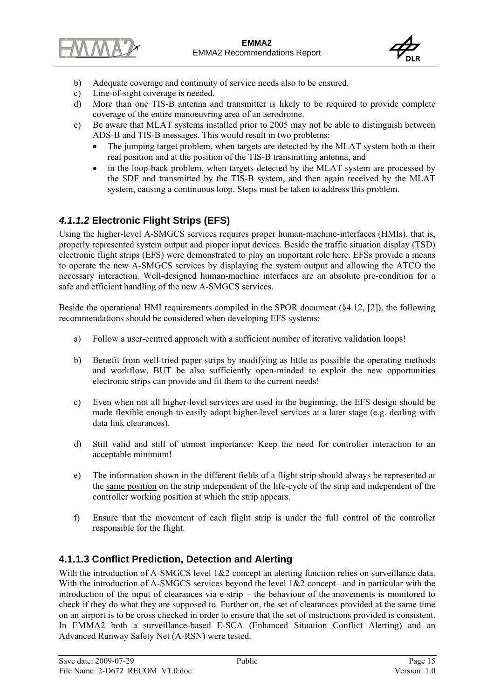



- b) Adequate coverage and continuity of service needs also to be ensured.
- c) Line-of-sight coverage is needed.
- d) More than one TIS-B antenna and transmitter is likely to be required to provide complete coverage of the entire manoeuvring area of an aerodrome.
- e) Be aware that MLAT systems installed prior to 2005 may not be able to distinguish between ADS-B and TIS-B messages. This would result in two problems:
	- The jumping target problem, when targets are detected by the MLAT system both at their real position and at the position of the TIS-B transmitting antenna, and
	- in the loop-back problem, when targets detected by the MLAT system are processed by the SDF and transmitted by the TIS-B system, and then again received by the MLAT system, causing a continuous loop. Steps must be taken to address this problem.

## *4.1.1.2* **Electronic Flight Strips (EFS)**

Using the higher-level A-SMGCS services requires proper human-machine-interfaces (HMIs), that is, properly represented system output and proper input devices. Beside the traffic situation display (TSD) electronic flight strips (EFS) were demonstrated to play an important role here. EFSs provide a means to operate the new A-SMGCS services by displaying the system output and allowing the ATCO the necessary interaction. Well-designed human-machine interfaces are an absolute pre-condition for a safe and efficient handling of the new A-SMGCS services.

Beside the operational HMI requirements compiled in the SPOR document (§4.12, [2]), the following recommendations should be considered when developing EFS systems:

- a) Follow a user-centred approach with a sufficient number of iterative validation loops!
- b) Benefit from well-tried paper strips by modifying as little as possible the operating methods and workflow, BUT be also sufficiently open-minded to exploit the new opportunities electronic strips can provide and fit them to the current needs!
- c) Even when not all higher-level services are used in the beginning, the EFS design should be made flexible enough to easily adopt higher-level services at a later stage (e.g. dealing with data link clearances).
- d) Still valid and still of utmost importance: Keep the need for controller interaction to an acceptable minimum!
- e) The information shown in the different fields of a flight strip should always be represented at the same position on the strip independent of the life-cycle of the strip and independent of the controller working position at which the strip appears.
- f) Ensure that the movement of each flight strip is under the full control of the controller responsible for the flight.

## **4.1.1.3 Conflict Prediction, Detection and Alerting**

With the introduction of A-SMGCS level 1&2 concept an alerting function relies on surveillance data. With the introduction of A-SMGCS services beyond the level  $1\&2$  concept– and in particular with the introduction of the input of clearances via e-strip – the behaviour of the movements is monitored to check if they do what they are supposed to. Further on, the set of clearances provided at the same time on an airport is to be cross checked in order to ensure that the set of instructions provided is consistent. In EMMA2 both a surveillance-based E-SCA (Enhanced Situation Conflict Alerting) and an Advanced Runway Safety Net (A-RSN) were tested.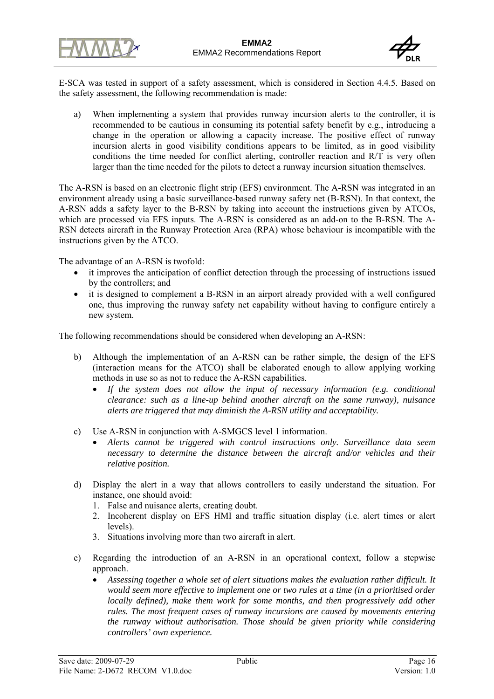



E-SCA was tested in support of a safety assessment, which is considered in Section 4.4.5. Based on the safety assessment, the following recommendation is made:

a) When implementing a system that provides runway incursion alerts to the controller, it is recommended to be cautious in consuming its potential safety benefit by e.g., introducing a change in the operation or allowing a capacity increase. The positive effect of runway incursion alerts in good visibility conditions appears to be limited, as in good visibility conditions the time needed for conflict alerting, controller reaction and R/T is very often larger than the time needed for the pilots to detect a runway incursion situation themselves.

The A-RSN is based on an electronic flight strip (EFS) environment. The A-RSN was integrated in an environment already using a basic surveillance-based runway safety net (B-RSN). In that context, the A-RSN adds a safety layer to the B-RSN by taking into account the instructions given by ATCOs, which are processed via EFS inputs. The A-RSN is considered as an add-on to the B-RSN. The A-RSN detects aircraft in the Runway Protection Area (RPA) whose behaviour is incompatible with the instructions given by the ATCO.

The advantage of an A-RSN is twofold:

- it improves the anticipation of conflict detection through the processing of instructions issued by the controllers; and
- it is designed to complement a B-RSN in an airport already provided with a well configured one, thus improving the runway safety net capability without having to configure entirely a new system.

The following recommendations should be considered when developing an A-RSN:

- b) Although the implementation of an A-RSN can be rather simple, the design of the EFS (interaction means for the ATCO) shall be elaborated enough to allow applying working methods in use so as not to reduce the A-RSN capabilities.
	- *If the system does not allow the input of necessary information (e.g. conditional clearance: such as a line-up behind another aircraft on the same runway), nuisance alerts are triggered that may diminish the A-RSN utility and acceptability.*
- c) Use A-RSN in conjunction with A-SMGCS level 1 information.
	- *Alerts cannot be triggered with control instructions only. Surveillance data seem necessary to determine the distance between the aircraft and/or vehicles and their relative position.*
- d) Display the alert in a way that allows controllers to easily understand the situation. For instance, one should avoid:
	- 1. False and nuisance alerts, creating doubt.
	- 2. Incoherent display on EFS HMI and traffic situation display (i.e. alert times or alert levels).
	- 3. Situations involving more than two aircraft in alert.
- e) Regarding the introduction of an A-RSN in an operational context, follow a stepwise approach.
	- *Assessing together a whole set of alert situations makes the evaluation rather difficult. It would seem more effective to implement one or two rules at a time (in a prioritised order locally defined), make them work for some months, and then progressively add other rules. The most frequent cases of runway incursions are caused by movements entering the runway without authorisation. Those should be given priority while considering controllers' own experience.*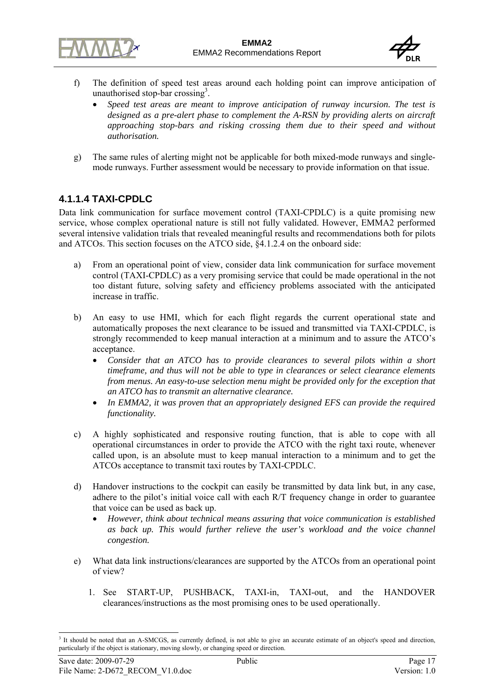



- f) The definition of speed test areas around each holding point can improve anticipation of unauthorised stop-bar crossing<sup>3</sup>.
	- *Speed test areas are meant to improve anticipation of runway incursion. The test is designed as a pre-alert phase to complement the A-RSN by providing alerts on aircraft approaching stop-bars and risking crossing them due to their speed and without authorisation.*
- g) The same rules of alerting might not be applicable for both mixed-mode runways and singlemode runways. Further assessment would be necessary to provide information on that issue.

### **4.1.1.4 TAXI-CPDLC**

Data link communication for surface movement control (TAXI-CPDLC) is a quite promising new service, whose complex operational nature is still not fully validated. However, EMMA2 performed several intensive validation trials that revealed meaningful results and recommendations both for pilots and ATCOs. This section focuses on the ATCO side, §4.1.2.4 on the onboard side:

- a) From an operational point of view, consider data link communication for surface movement control (TAXI-CPDLC) as a very promising service that could be made operational in the not too distant future, solving safety and efficiency problems associated with the anticipated increase in traffic.
- b) An easy to use HMI, which for each flight regards the current operational state and automatically proposes the next clearance to be issued and transmitted via TAXI-CPDLC, is strongly recommended to keep manual interaction at a minimum and to assure the ATCO's acceptance.
	- *Consider that an ATCO has to provide clearances to several pilots within a short timeframe, and thus will not be able to type in clearances or select clearance elements from menus. An easy-to-use selection menu might be provided only for the exception that an ATCO has to transmit an alternative clearance.*
	- In EMMA2, it was proven that an appropriately designed EFS can provide the required *functionality.*
- c) A highly sophisticated and responsive routing function, that is able to cope with all operational circumstances in order to provide the ATCO with the right taxi route, whenever called upon, is an absolute must to keep manual interaction to a minimum and to get the ATCOs acceptance to transmit taxi routes by TAXI-CPDLC.
- d) Handover instructions to the cockpit can easily be transmitted by data link but, in any case, adhere to the pilot's initial voice call with each R/T frequency change in order to guarantee that voice can be used as back up.
	- *However, think about technical means assuring that voice communication is established as back up. This would further relieve the user's workload and the voice channel congestion.*
- e) What data link instructions/clearances are supported by the ATCOs from an operational point of view?
	- 1. See START-UP, PUSHBACK, TAXI-in, TAXI-out, and the HANDOVER clearances/instructions as the most promising ones to be used operationally.

l  $3$  It should be noted that an A-SMCGS, as currently defined, is not able to give an accurate estimate of an object's speed and direction, particularly if the object is stationary, moving slowly, or changing speed or direction.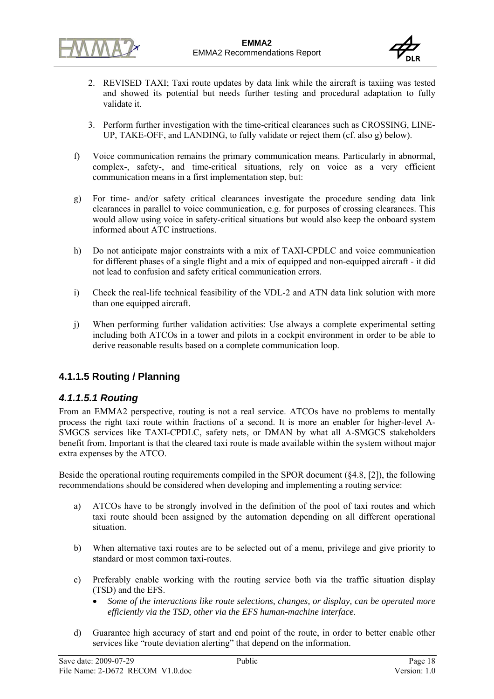



- 2. REVISED TAXI; Taxi route updates by data link while the aircraft is taxiing was tested and showed its potential but needs further testing and procedural adaptation to fully validate it.
- 3. Perform further investigation with the time-critical clearances such as CROSSING, LINE-UP, TAKE-OFF, and LANDING, to fully validate or reject them (cf. also g) below).
- f) Voice communication remains the primary communication means. Particularly in abnormal, complex-, safety-, and time-critical situations, rely on voice as a very efficient communication means in a first implementation step, but:
- g) For time- and/or safety critical clearances investigate the procedure sending data link clearances in parallel to voice communication, e.g. for purposes of crossing clearances. This would allow using voice in safety-critical situations but would also keep the onboard system informed about ATC instructions.
- h) Do not anticipate major constraints with a mix of TAXI-CPDLC and voice communication for different phases of a single flight and a mix of equipped and non-equipped aircraft - it did not lead to confusion and safety critical communication errors.
- i) Check the real-life technical feasibility of the VDL-2 and ATN data link solution with more than one equipped aircraft.
- j) When performing further validation activities: Use always a complete experimental setting including both ATCOs in a tower and pilots in a cockpit environment in order to be able to derive reasonable results based on a complete communication loop.

## **4.1.1.5 Routing / Planning**

### *4.1.1.5.1 Routing*

From an EMMA2 perspective, routing is not a real service. ATCOs have no problems to mentally process the right taxi route within fractions of a second. It is more an enabler for higher-level A-SMGCS services like TAXI-CPDLC, safety nets, or DMAN by what all A-SMGCS stakeholders benefit from. Important is that the cleared taxi route is made available within the system without major extra expenses by the ATCO.

Beside the operational routing requirements compiled in the SPOR document  $(§4.8, [2])$ , the following recommendations should be considered when developing and implementing a routing service:

- a) ATCOs have to be strongly involved in the definition of the pool of taxi routes and which taxi route should been assigned by the automation depending on all different operational situation.
- b) When alternative taxi routes are to be selected out of a menu, privilege and give priority to standard or most common taxi-routes.
- c) Preferably enable working with the routing service both via the traffic situation display (TSD) and the EFS.
	- *Some of the interactions like route selections, changes, or display, can be operated more efficiently via the TSD, other via the EFS human-machine interface.*
- d) Guarantee high accuracy of start and end point of the route, in order to better enable other services like "route deviation alerting" that depend on the information.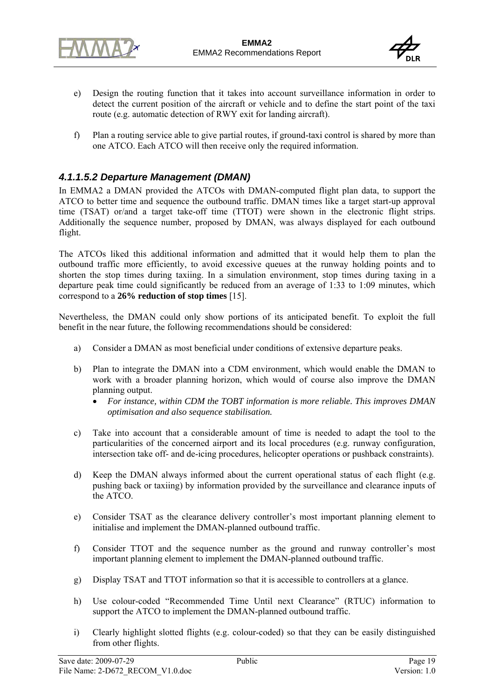

- e) Design the routing function that it takes into account surveillance information in order to detect the current position of the aircraft or vehicle and to define the start point of the taxi route (e.g. automatic detection of RWY exit for landing aircraft).
- f) Plan a routing service able to give partial routes, if ground-taxi control is shared by more than one ATCO. Each ATCO will then receive only the required information.

### *4.1.1.5.2 Departure Management (DMAN)*

In EMMA2 a DMAN provided the ATCOs with DMAN-computed flight plan data, to support the ATCO to better time and sequence the outbound traffic. DMAN times like a target start-up approval time (TSAT) or/and a target take-off time (TTOT) were shown in the electronic flight strips. Additionally the sequence number, proposed by DMAN, was always displayed for each outbound flight.

The ATCOs liked this additional information and admitted that it would help them to plan the outbound traffic more efficiently, to avoid excessive queues at the runway holding points and to shorten the stop times during taxiing. In a simulation environment, stop times during taxing in a departure peak time could significantly be reduced from an average of 1:33 to 1:09 minutes, which correspond to a **26% reduction of stop times** [15].

Nevertheless, the DMAN could only show portions of its anticipated benefit. To exploit the full benefit in the near future, the following recommendations should be considered:

- a) Consider a DMAN as most beneficial under conditions of extensive departure peaks.
- b) Plan to integrate the DMAN into a CDM environment, which would enable the DMAN to work with a broader planning horizon, which would of course also improve the DMAN planning output.
	- *For instance, within CDM the TOBT information is more reliable. This improves DMAN optimisation and also sequence stabilisation.*
- c) Take into account that a considerable amount of time is needed to adapt the tool to the particularities of the concerned airport and its local procedures (e.g. runway configuration, intersection take off- and de-icing procedures, helicopter operations or pushback constraints).
- d) Keep the DMAN always informed about the current operational status of each flight (e.g. pushing back or taxiing) by information provided by the surveillance and clearance inputs of the ATCO.
- e) Consider TSAT as the clearance delivery controller's most important planning element to initialise and implement the DMAN-planned outbound traffic.
- f) Consider TTOT and the sequence number as the ground and runway controller's most important planning element to implement the DMAN-planned outbound traffic.
- g) Display TSAT and TTOT information so that it is accessible to controllers at a glance.
- h) Use colour-coded "Recommended Time Until next Clearance" (RTUC) information to support the ATCO to implement the DMAN-planned outbound traffic.
- i) Clearly highlight slotted flights (e.g. colour-coded) so that they can be easily distinguished from other flights.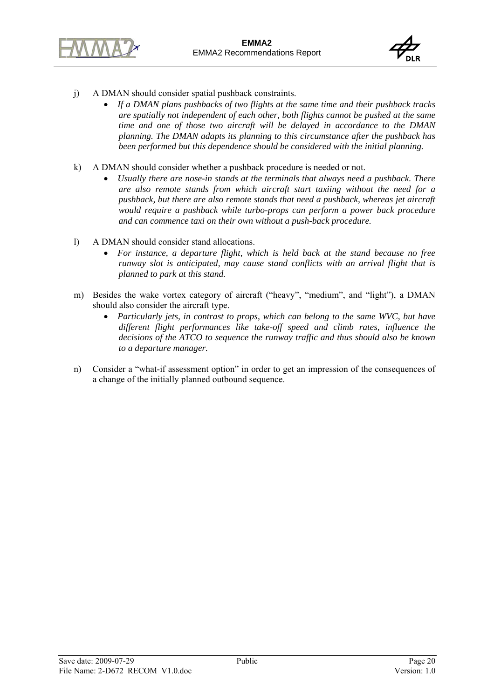



- j) A DMAN should consider spatial pushback constraints.
	- *If a DMAN plans pushbacks of two flights at the same time and their pushback tracks are spatially not independent of each other, both flights cannot be pushed at the same time and one of those two aircraft will be delayed in accordance to the DMAN planning. The DMAN adapts its planning to this circumstance after the pushback has been performed but this dependence should be considered with the initial planning.*
- k) A DMAN should consider whether a pushback procedure is needed or not.
	- *Usually there are nose-in stands at the terminals that always need a pushback. There are also remote stands from which aircraft start taxiing without the need for a pushback, but there are also remote stands that need a pushback, whereas jet aircraft would require a pushback while turbo-props can perform a power back procedure and can commence taxi on their own without a push-back procedure.*
- l) A DMAN should consider stand allocations.
	- *For instance, a departure flight, which is held back at the stand because no free runway slot is anticipated, may cause stand conflicts with an arrival flight that is planned to park at this stand.*
- m) Besides the wake vortex category of aircraft ("heavy", "medium", and "light"), a DMAN should also consider the aircraft type.
	- *Particularly jets, in contrast to props, which can belong to the same WVC, but have different flight performances like take-off speed and climb rates, influence the decisions of the ATCO to sequence the runway traffic and thus should also be known to a departure manager.*
- n) Consider a "what-if assessment option" in order to get an impression of the consequences of a change of the initially planned outbound sequence.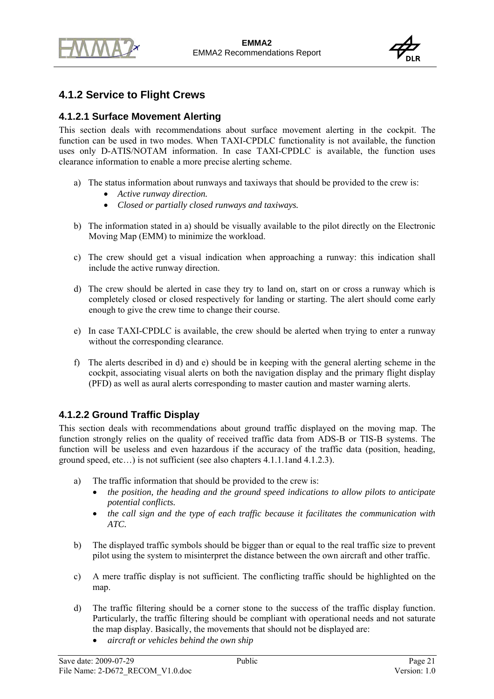

## **4.1.2 Service to Flight Crews**

### **4.1.2.1 Surface Movement Alerting**

This section deals with recommendations about surface movement alerting in the cockpit. The function can be used in two modes. When TAXI-CPDLC functionality is not available, the function uses only D-ATIS/NOTAM information. In case TAXI-CPDLC is available, the function uses clearance information to enable a more precise alerting scheme.

- a) The status information about runways and taxiways that should be provided to the crew is:
	- *Active runway direction.*
	- *Closed or partially closed runways and taxiways.*
- b) The information stated in a) should be visually available to the pilot directly on the Electronic Moving Map (EMM) to minimize the workload.
- c) The crew should get a visual indication when approaching a runway: this indication shall include the active runway direction.
- d) The crew should be alerted in case they try to land on, start on or cross a runway which is completely closed or closed respectively for landing or starting. The alert should come early enough to give the crew time to change their course.
- e) In case TAXI-CPDLC is available, the crew should be alerted when trying to enter a runway without the corresponding clearance.
- f) The alerts described in d) and e) should be in keeping with the general alerting scheme in the cockpit, associating visual alerts on both the navigation display and the primary flight display (PFD) as well as aural alerts corresponding to master caution and master warning alerts.

## **4.1.2.2 Ground Traffic Display**

This section deals with recommendations about ground traffic displayed on the moving map. The function strongly relies on the quality of received traffic data from ADS-B or TIS-B systems. The function will be useless and even hazardous if the accuracy of the traffic data (position, heading, ground speed, etc…) is not sufficient (see also chapters 4.1.1.1and 4.1.2.3).

- a) The traffic information that should be provided to the crew is:
	- *the position, the heading and the ground speed indications to allow pilots to anticipate potential conflicts.*
	- *the call sign and the type of each traffic because it facilitates the communication with ATC.*
- b) The displayed traffic symbols should be bigger than or equal to the real traffic size to prevent pilot using the system to misinterpret the distance between the own aircraft and other traffic.
- c) A mere traffic display is not sufficient. The conflicting traffic should be highlighted on the map.
- d) The traffic filtering should be a corner stone to the success of the traffic display function. Particularly, the traffic filtering should be compliant with operational needs and not saturate the map display. Basically, the movements that should not be displayed are:
	- *aircraft or vehicles behind the own ship*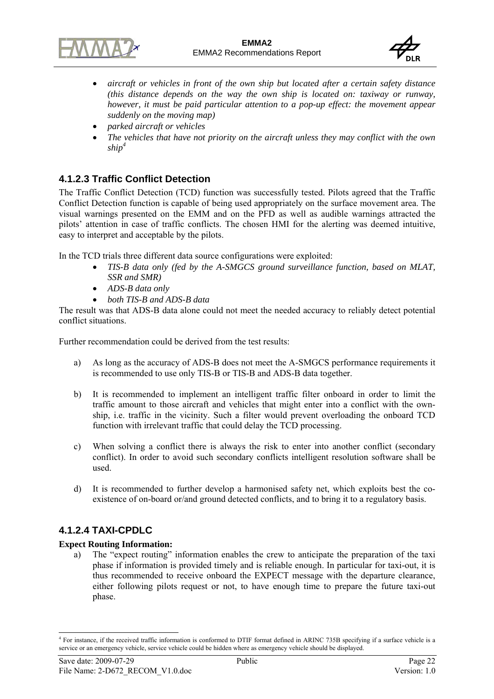



- *aircraft or vehicles in front of the own ship but located after a certain safety distance (this distance depends on the way the own ship is located on: taxiway or runway, however, it must be paid particular attention to a pop-up effect: the movement appear suddenly on the moving map)*
- *parked aircraft or vehicles*
- *The vehicles that have not priority on the aircraft unless they may conflict with the own ship<sup>4</sup>*

### **4.1.2.3 Traffic Conflict Detection**

The Traffic Conflict Detection (TCD) function was successfully tested. Pilots agreed that the Traffic Conflict Detection function is capable of being used appropriately on the surface movement area. The visual warnings presented on the EMM and on the PFD as well as audible warnings attracted the pilots' attention in case of traffic conflicts. The chosen HMI for the alerting was deemed intuitive, easy to interpret and acceptable by the pilots.

In the TCD trials three different data source configurations were exploited:

- *TIS-B data only (fed by the A-SMGCS ground surveillance function, based on MLAT, SSR and SMR)*
- *ADS-B data only*
- *both TIS-B and ADS-B data*

The result was that ADS-B data alone could not meet the needed accuracy to reliably detect potential conflict situations.

Further recommendation could be derived from the test results:

- a) As long as the accuracy of ADS-B does not meet the A-SMGCS performance requirements it is recommended to use only TIS-B or TIS-B and ADS-B data together.
- b) It is recommended to implement an intelligent traffic filter onboard in order to limit the traffic amount to those aircraft and vehicles that might enter into a conflict with the ownship, i.e. traffic in the vicinity. Such a filter would prevent overloading the onboard TCD function with irrelevant traffic that could delay the TCD processing.
- c) When solving a conflict there is always the risk to enter into another conflict (secondary conflict). In order to avoid such secondary conflicts intelligent resolution software shall be used.
- d) It is recommended to further develop a harmonised safety net, which exploits best the coexistence of on-board or/and ground detected conflicts, and to bring it to a regulatory basis.

### **4.1.2.4 TAXI-CPDLC**

#### **Expect Routing Information:**

a) The "expect routing" information enables the crew to anticipate the preparation of the taxi phase if information is provided timely and is reliable enough. In particular for taxi-out, it is thus recommended to receive onboard the EXPECT message with the departure clearance, either following pilots request or not, to have enough time to prepare the future taxi-out phase.

l <sup>4</sup> For instance, if the received traffic information is conformed to DTIF format defined in ARINC 735B specifying if a surface vehicle is a service or an emergency vehicle, service vehicle could be hidden where as emergency vehicle should be displayed.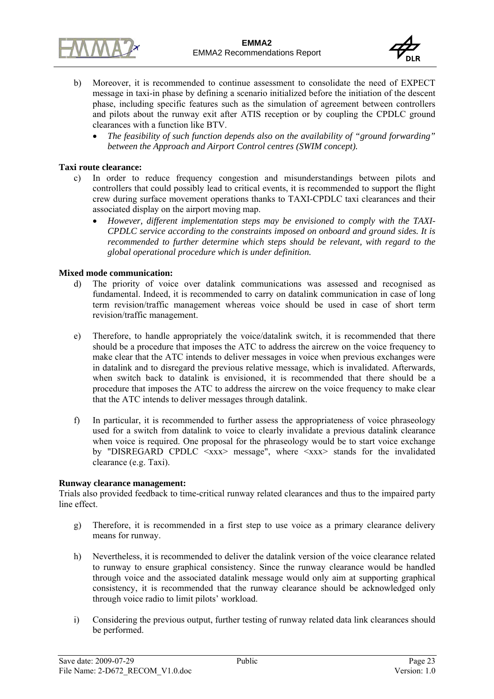



- b) Moreover, it is recommended to continue assessment to consolidate the need of EXPECT message in taxi-in phase by defining a scenario initialized before the initiation of the descent phase, including specific features such as the simulation of agreement between controllers and pilots about the runway exit after ATIS reception or by coupling the CPDLC ground clearances with a function like BTV.
	- *The feasibility of such function depends also on the availability of "ground forwarding" between the Approach and Airport Control centres (SWIM concept).*

#### **Taxi route clearance:**

- c) In order to reduce frequency congestion and misunderstandings between pilots and controllers that could possibly lead to critical events, it is recommended to support the flight crew during surface movement operations thanks to TAXI-CPDLC taxi clearances and their associated display on the airport moving map.
	- *However, different implementation steps may be envisioned to comply with the TAXI-CPDLC service according to the constraints imposed on onboard and ground sides. It is recommended to further determine which steps should be relevant, with regard to the global operational procedure which is under definition.*

#### **Mixed mode communication:**

- d) The priority of voice over datalink communications was assessed and recognised as fundamental. Indeed, it is recommended to carry on datalink communication in case of long term revision/traffic management whereas voice should be used in case of short term revision/traffic management.
- e) Therefore, to handle appropriately the voice/datalink switch, it is recommended that there should be a procedure that imposes the ATC to address the aircrew on the voice frequency to make clear that the ATC intends to deliver messages in voice when previous exchanges were in datalink and to disregard the previous relative message, which is invalidated. Afterwards, when switch back to datalink is envisioned, it is recommended that there should be a procedure that imposes the ATC to address the aircrew on the voice frequency to make clear that the ATC intends to deliver messages through datalink.
- f) In particular, it is recommended to further assess the appropriateness of voice phraseology used for a switch from datalink to voice to clearly invalidate a previous datalink clearance when voice is required. One proposal for the phraseology would be to start voice exchange by "DISREGARD CPDLC <xxx> message", where <xxx> stands for the invalidated clearance (e.g. Taxi).

#### **Runway clearance management:**

Trials also provided feedback to time-critical runway related clearances and thus to the impaired party line effect.

- g) Therefore, it is recommended in a first step to use voice as a primary clearance delivery means for runway.
- h) Nevertheless, it is recommended to deliver the datalink version of the voice clearance related to runway to ensure graphical consistency. Since the runway clearance would be handled through voice and the associated datalink message would only aim at supporting graphical consistency, it is recommended that the runway clearance should be acknowledged only through voice radio to limit pilots' workload.
- i) Considering the previous output, further testing of runway related data link clearances should be performed.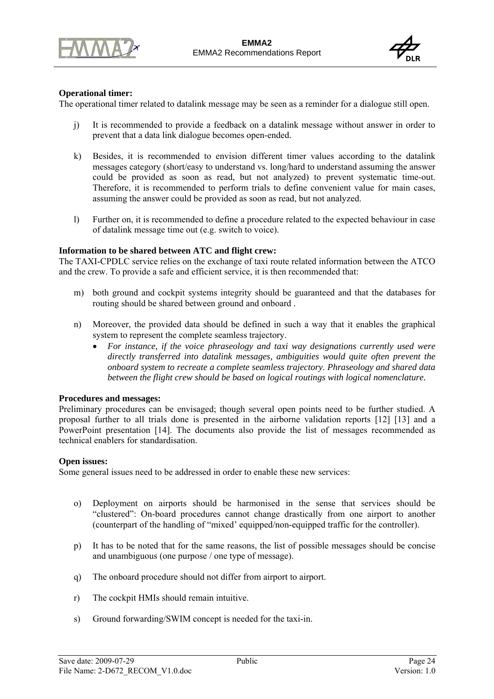



#### **Operational timer:**

The operational timer related to datalink message may be seen as a reminder for a dialogue still open.

- j) It is recommended to provide a feedback on a datalink message without answer in order to prevent that a data link dialogue becomes open-ended.
- k) Besides, it is recommended to envision different timer values according to the datalink messages category (short/easy to understand vs. long/hard to understand assuming the answer could be provided as soon as read, but not analyzed) to prevent systematic time-out. Therefore, it is recommended to perform trials to define convenient value for main cases, assuming the answer could be provided as soon as read, but not analyzed.
- l) Further on, it is recommended to define a procedure related to the expected behaviour in case of datalink message time out (e.g. switch to voice).

#### **Information to be shared between ATC and flight crew:**

The TAXI-CPDLC service relies on the exchange of taxi route related information between the ATCO and the crew. To provide a safe and efficient service, it is then recommended that:

- m) both ground and cockpit systems integrity should be guaranteed and that the databases for routing should be shared between ground and onboard .
- n) Moreover, the provided data should be defined in such a way that it enables the graphical system to represent the complete seamless trajectory.
	- *For instance, if the voice phraseology and taxi way designations currently used were directly transferred into datalink messages, ambiguities would quite often prevent the onboard system to recreate a complete seamless trajectory. Phraseology and shared data between the flight crew should be based on logical routings with logical nomenclature.*

#### **Procedures and messages:**

Preliminary procedures can be envisaged; though several open points need to be further studied. A proposal further to all trials done is presented in the airborne validation reports [12] [13] and a PowerPoint presentation [14]. The documents also provide the list of messages recommended as technical enablers for standardisation.

#### **Open issues:**

Some general issues need to be addressed in order to enable these new services:

- o) Deployment on airports should be harmonised in the sense that services should be "clustered": On-board procedures cannot change drastically from one airport to another (counterpart of the handling of "mixed' equipped/non-equipped traffic for the controller).
- p) It has to be noted that for the same reasons, the list of possible messages should be concise and unambiguous (one purpose / one type of message).
- q) The onboard procedure should not differ from airport to airport.
- r) The cockpit HMIs should remain intuitive.
- s) Ground forwarding/SWIM concept is needed for the taxi-in.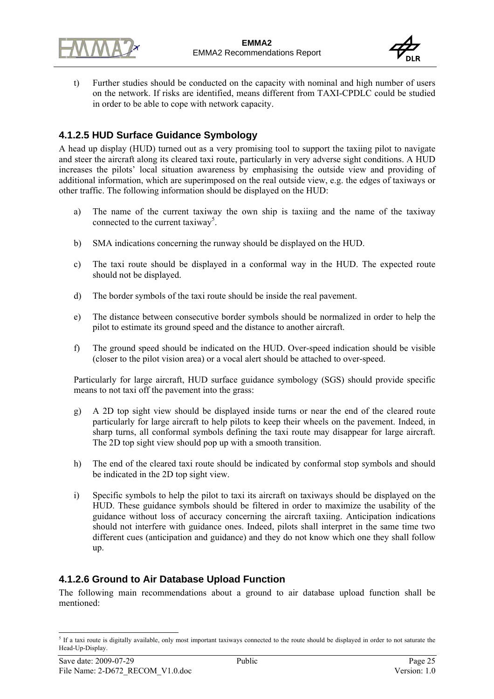



t) Further studies should be conducted on the capacity with nominal and high number of users on the network. If risks are identified, means different from TAXI-CPDLC could be studied in order to be able to cope with network capacity.

## **4.1.2.5 HUD Surface Guidance Symbology**

A head up display (HUD) turned out as a very promising tool to support the taxiing pilot to navigate and steer the aircraft along its cleared taxi route, particularly in very adverse sight conditions. A HUD increases the pilots' local situation awareness by emphasising the outside view and providing of additional information, which are superimposed on the real outside view, e.g. the edges of taxiways or other traffic. The following information should be displayed on the HUD:

- a) The name of the current taxiway the own ship is taxiing and the name of the taxiway connected to the current taxiway<sup>5</sup>.
- b) SMA indications concerning the runway should be displayed on the HUD.
- c) The taxi route should be displayed in a conformal way in the HUD. The expected route should not be displayed.
- d) The border symbols of the taxi route should be inside the real pavement.
- e) The distance between consecutive border symbols should be normalized in order to help the pilot to estimate its ground speed and the distance to another aircraft.
- f) The ground speed should be indicated on the HUD. Over-speed indication should be visible (closer to the pilot vision area) or a vocal alert should be attached to over-speed.

Particularly for large aircraft, HUD surface guidance symbology (SGS) should provide specific means to not taxi off the pavement into the grass:

- g) A 2D top sight view should be displayed inside turns or near the end of the cleared route particularly for large aircraft to help pilots to keep their wheels on the pavement. Indeed, in sharp turns, all conformal symbols defining the taxi route may disappear for large aircraft. The 2D top sight view should pop up with a smooth transition.
- h) The end of the cleared taxi route should be indicated by conformal stop symbols and should be indicated in the 2D top sight view.
- i) Specific symbols to help the pilot to taxi its aircraft on taxiways should be displayed on the HUD. These guidance symbols should be filtered in order to maximize the usability of the guidance without loss of accuracy concerning the aircraft taxiing. Anticipation indications should not interfere with guidance ones. Indeed, pilots shall interpret in the same time two different cues (anticipation and guidance) and they do not know which one they shall follow up.

## **4.1.2.6 Ground to Air Database Upload Function**

The following main recommendations about a ground to air database upload function shall be mentioned:

l  $5$  If a taxi route is digitally available, only most important taxiways connected to the route should be displayed in order to not saturate the Head-Up-Display.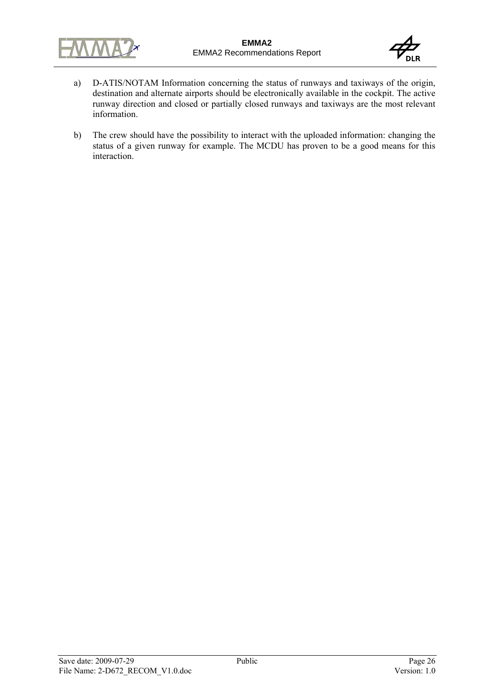



- a) D-ATIS/NOTAM Information concerning the status of runways and taxiways of the origin, destination and alternate airports should be electronically available in the cockpit. The active runway direction and closed or partially closed runways and taxiways are the most relevant information.
- b) The crew should have the possibility to interact with the uploaded information: changing the status of a given runway for example. The MCDU has proven to be a good means for this interaction.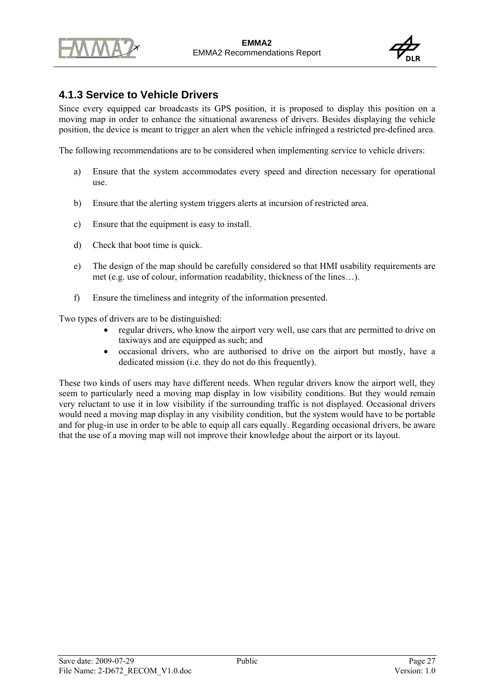



## **4.1.3 Service to Vehicle Drivers**

Since every equipped car broadcasts its GPS position, it is proposed to display this position on a moving map in order to enhance the situational awareness of drivers. Besides displaying the vehicle position, the device is meant to trigger an alert when the vehicle infringed a restricted pre-defined area.

The following recommendations are to be considered when implementing service to vehicle drivers:

- a) Ensure that the system accommodates every speed and direction necessary for operational use.
- b) Ensure that the alerting system triggers alerts at incursion of restricted area.
- c) Ensure that the equipment is easy to install.
- d) Check that boot time is quick.
- e) The design of the map should be carefully considered so that HMI usability requirements are met (e.g. use of colour, information readability, thickness of the lines…).
- f) Ensure the timeliness and integrity of the information presented.

Two types of drivers are to be distinguished:

- regular drivers, who know the airport very well, use cars that are permitted to drive on taxiways and are equipped as such; and
- occasional drivers, who are authorised to drive on the airport but mostly, have a dedicated mission (i.e. they do not do this frequently).

These two kinds of users may have different needs. When regular drivers know the airport well, they seem to particularly need a moving map display in low visibility conditions. But they would remain very reluctant to use it in low visibility if the surrounding traffic is not displayed. Occasional drivers would need a moving map display in any visibility condition, but the system would have to be portable and for plug-in use in order to be able to equip all cars equally. Regarding occasional drivers, be aware that the use of a moving map will not improve their knowledge about the airport or its layout.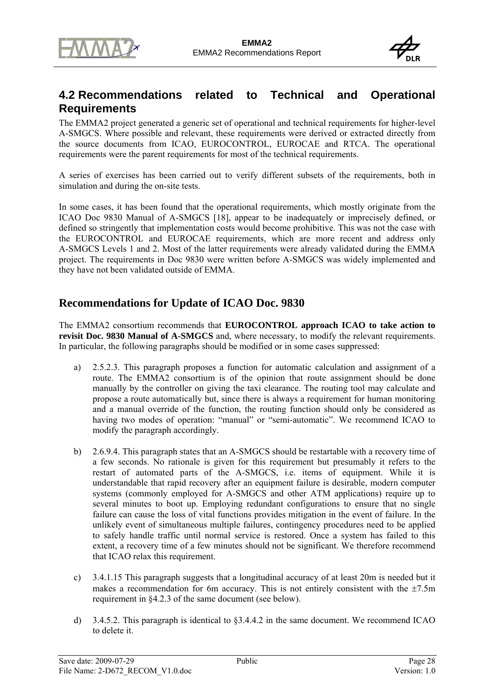



# **4.2 Recommendations related to Technical and Operational Requirements**

The EMMA2 project generated a generic set of operational and technical requirements for higher-level A-SMGCS. Where possible and relevant, these requirements were derived or extracted directly from the source documents from ICAO, EUROCONTROL, EUROCAE and RTCA. The operational requirements were the parent requirements for most of the technical requirements.

A series of exercises has been carried out to verify different subsets of the requirements, both in simulation and during the on-site tests.

In some cases, it has been found that the operational requirements, which mostly originate from the ICAO Doc 9830 Manual of A-SMGCS [18], appear to be inadequately or imprecisely defined, or defined so stringently that implementation costs would become prohibitive. This was not the case with the EUROCONTROL and EUROCAE requirements, which are more recent and address only A-SMGCS Levels 1 and 2. Most of the latter requirements were already validated during the EMMA project. The requirements in Doc 9830 were written before A-SMGCS was widely implemented and they have not been validated outside of EMMA.

## **Recommendations for Update of ICAO Doc. 9830**

The EMMA2 consortium recommends that **EUROCONTROL approach ICAO to take action to revisit Doc. 9830 Manual of A-SMGCS** and, where necessary, to modify the relevant requirements. In particular, the following paragraphs should be modified or in some cases suppressed:

- a) 2.5.2.3. This paragraph proposes a function for automatic calculation and assignment of a route. The EMMA2 consortium is of the opinion that route assignment should be done manually by the controller on giving the taxi clearance. The routing tool may calculate and propose a route automatically but, since there is always a requirement for human monitoring and a manual override of the function, the routing function should only be considered as having two modes of operation: "manual" or "semi-automatic". We recommend ICAO to modify the paragraph accordingly.
- b) 2.6.9.4. This paragraph states that an A-SMGCS should be restartable with a recovery time of a few seconds. No rationale is given for this requirement but presumably it refers to the restart of automated parts of the A-SMGCS, i.e. items of equipment. While it is understandable that rapid recovery after an equipment failure is desirable, modern computer systems (commonly employed for A-SMGCS and other ATM applications) require up to several minutes to boot up. Employing redundant configurations to ensure that no single failure can cause the loss of vital functions provides mitigation in the event of failure. In the unlikely event of simultaneous multiple failures, contingency procedures need to be applied to safely handle traffic until normal service is restored. Once a system has failed to this extent, a recovery time of a few minutes should not be significant. We therefore recommend that ICAO relax this requirement.
- c) 3.4.1.15 This paragraph suggests that a longitudinal accuracy of at least 20m is needed but it makes a recommendation for 6m accuracy. This is not entirely consistent with the  $\pm$ 7.5m requirement in §4.2.3 of the same document (see below).
- d) 3.4.5.2. This paragraph is identical to §3.4.4.2 in the same document. We recommend ICAO to delete it.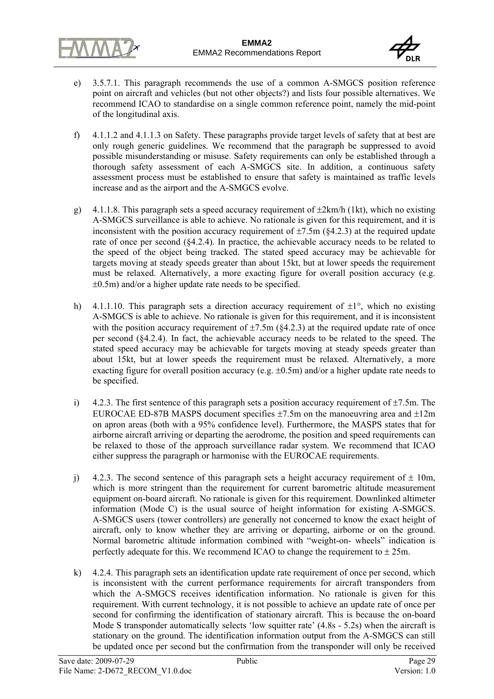



- e) 3.5.7.1. This paragraph recommends the use of a common A-SMGCS position reference point on aircraft and vehicles (but not other objects?) and lists four possible alternatives. We recommend ICAO to standardise on a single common reference point, namely the mid-point of the longitudinal axis.
- f) 4.1.1.2 and 4.1.1.3 on Safety. These paragraphs provide target levels of safety that at best are only rough generic guidelines. We recommend that the paragraph be suppressed to avoid possible misunderstanding or misuse. Safety requirements can only be established through a thorough safety assessment of each A-SMGCS site. In addition, a continuous safety assessment process must be established to ensure that safety is maintained as traffic levels increase and as the airport and the A-SMGCS evolve.
- g) 4.1.1.8. This paragraph sets a speed accuracy requirement of  $\pm 2$ km/h (1kt), which no existing A-SMGCS surveillance is able to achieve. No rationale is given for this requirement, and it is inconsistent with the position accuracy requirement of  $\pm$ 7.5m (§4.2.3) at the required update rate of once per second (§4.2.4). In practice, the achievable accuracy needs to be related to the speed of the object being tracked. The stated speed accuracy may be achievable for targets moving at steady speeds greater than about 15kt, but at lower speeds the requirement must be relaxed. Alternatively, a more exacting figure for overall position accuracy (e.g. ±0.5m) and/or a higher update rate needs to be specified.
- h) 4.1.1.10. This paragraph sets a direction accuracy requirement of  $\pm 1^{\circ}$ , which no existing A-SMGCS is able to achieve. No rationale is given for this requirement, and it is inconsistent with the position accuracy requirement of  $\pm$ 7.5m (§4.2.3) at the required update rate of once per second (§4.2.4). In fact, the achievable accuracy needs to be related to the speed. The stated speed accuracy may be achievable for targets moving at steady speeds greater than about 15kt, but at lower speeds the requirement must be relaxed. Alternatively, a more exacting figure for overall position accuracy (e.g.  $\pm 0.5$ m) and/or a higher update rate needs to be specified.
- i) 4.2.3. The first sentence of this paragraph sets a position accuracy requirement of  $\pm$ 7.5m. The EUROCAE ED-87B MASPS document specifies  $\pm$ 7.5m on the manoeuvring area and  $\pm$ 12m on apron areas (both with a 95% confidence level). Furthermore, the MASPS states that for airborne aircraft arriving or departing the aerodrome, the position and speed requirements can be relaxed to those of the approach surveillance radar system. We recommend that ICAO either suppress the paragraph or harmonise with the EUROCAE requirements.
- j) 4.2.3. The second sentence of this paragraph sets a height accuracy requirement of  $\pm$  10m, which is more stringent than the requirement for current barometric altitude measurement equipment on-board aircraft. No rationale is given for this requirement. Downlinked altimeter information (Mode C) is the usual source of height information for existing A-SMGCS. A-SMGCS users (tower controllers) are generally not concerned to know the exact height of aircraft, only to know whether they are arriving or departing, airborne or on the ground. Normal barometric altitude information combined with "weight-on- wheels" indication is perfectly adequate for this. We recommend ICAO to change the requirement to  $\pm 25$ m.
- k) 4.2.4. This paragraph sets an identification update rate requirement of once per second, which is inconsistent with the current performance requirements for aircraft transponders from which the A-SMGCS receives identification information. No rationale is given for this requirement. With current technology, it is not possible to achieve an update rate of once per second for confirming the identification of stationary aircraft. This is because the on-board Mode S transponder automatically selects 'low squitter rate' (4.8s - 5.2s) when the aircraft is stationary on the ground. The identification information output from the A-SMGCS can still be updated once per second but the confirmation from the transponder will only be received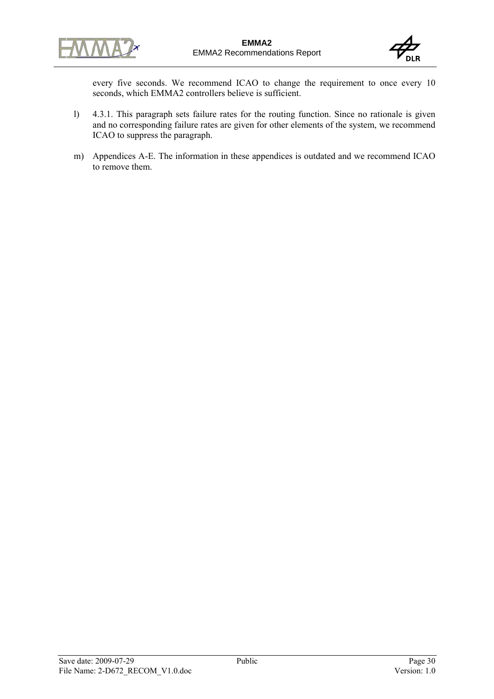



every five seconds. We recommend ICAO to change the requirement to once every 10 seconds, which EMMA2 controllers believe is sufficient.

- l) 4.3.1. This paragraph sets failure rates for the routing function. Since no rationale is given and no corresponding failure rates are given for other elements of the system, we recommend ICAO to suppress the paragraph.
- m) Appendices A-E. The information in these appendices is outdated and we recommend ICAO to remove them.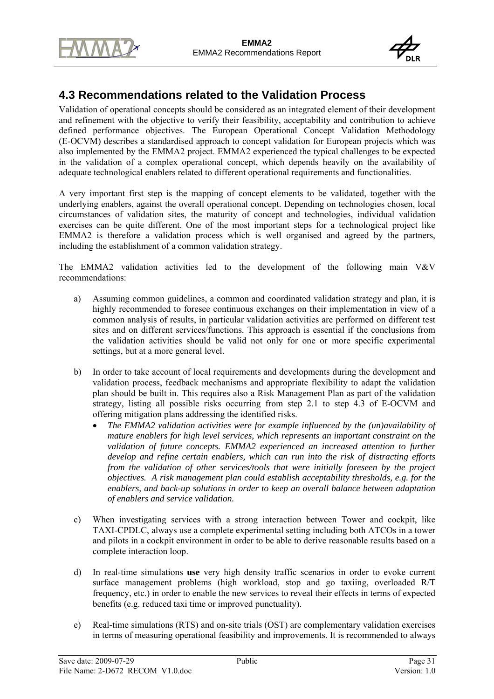



# **4.3 Recommendations related to the Validation Process**

Validation of operational concepts should be considered as an integrated element of their development and refinement with the objective to verify their feasibility, acceptability and contribution to achieve defined performance objectives. The European Operational Concept Validation Methodology (E-OCVM) describes a standardised approach to concept validation for European projects which was also implemented by the EMMA2 project. EMMA2 experienced the typical challenges to be expected in the validation of a complex operational concept, which depends heavily on the availability of adequate technological enablers related to different operational requirements and functionalities.

A very important first step is the mapping of concept elements to be validated, together with the underlying enablers, against the overall operational concept. Depending on technologies chosen, local circumstances of validation sites, the maturity of concept and technologies, individual validation exercises can be quite different. One of the most important steps for a technological project like EMMA2 is therefore a validation process which is well organised and agreed by the partners, including the establishment of a common validation strategy.

The EMMA2 validation activities led to the development of the following main V&V recommendations:

- a) Assuming common guidelines, a common and coordinated validation strategy and plan, it is highly recommended to foresee continuous exchanges on their implementation in view of a common analysis of results, in particular validation activities are performed on different test sites and on different services/functions. This approach is essential if the conclusions from the validation activities should be valid not only for one or more specific experimental settings, but at a more general level.
- b) In order to take account of local requirements and developments during the development and validation process, feedback mechanisms and appropriate flexibility to adapt the validation plan should be built in. This requires also a Risk Management Plan as part of the validation strategy, listing all possible risks occurring from step 2.1 to step 4.3 of E-OCVM and offering mitigation plans addressing the identified risks.
	- *The EMMA2 validation activities were for example influenced by the (un)availability of mature enablers for high level services, which represents an important constraint on the*  validation of future concepts. EMMA2 experienced an increased attention to further *develop and refine certain enablers, which can run into the risk of distracting efforts from the validation of other services/tools that were initially foreseen by the project objectives. A risk management plan could establish acceptability thresholds, e.g. for the enablers, and back-up solutions in order to keep an overall balance between adaptation of enablers and service validation.*
- c) When investigating services with a strong interaction between Tower and cockpit, like TAXI-CPDLC, always use a complete experimental setting including both ATCOs in a tower and pilots in a cockpit environment in order to be able to derive reasonable results based on a complete interaction loop.
- d) In real-time simulations **use** very high density traffic scenarios in order to evoke current surface management problems (high workload, stop and go taxiing, overloaded R/T frequency, etc.) in order to enable the new services to reveal their effects in terms of expected benefits (e.g. reduced taxi time or improved punctuality).
- e) Real-time simulations (RTS) and on-site trials (OST) are complementary validation exercises in terms of measuring operational feasibility and improvements. It is recommended to always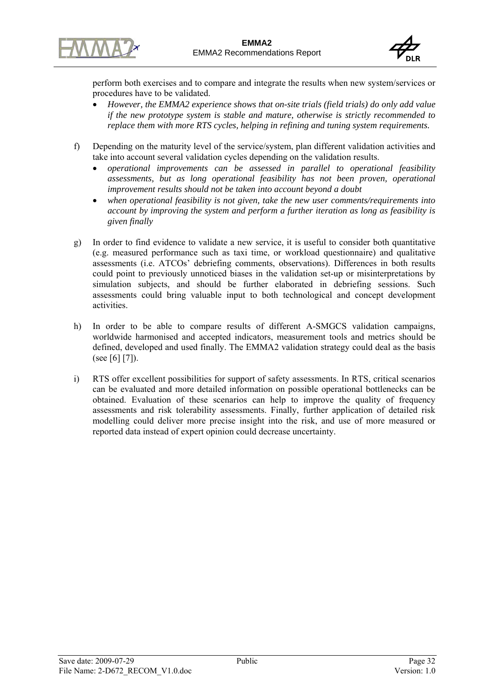



perform both exercises and to compare and integrate the results when new system/services or procedures have to be validated.

- *However, the EMMA2 experience shows that on-site trials (field trials) do only add value if the new prototype system is stable and mature, otherwise is strictly recommended to replace them with more RTS cycles, helping in refining and tuning system requirements.*
- f) Depending on the maturity level of the service/system, plan different validation activities and take into account several validation cycles depending on the validation results.
	- *operational improvements can be assessed in parallel to operational feasibility assessments, but as long operational feasibility has not been proven, operational improvement results should not be taken into account beyond a doubt*
	- *when operational feasibility is not given, take the new user comments/requirements into account by improving the system and perform a further iteration as long as feasibility is given finally*
- g) In order to find evidence to validate a new service, it is useful to consider both quantitative (e.g. measured performance such as taxi time, or workload questionnaire) and qualitative assessments (i.e. ATCOs' debriefing comments, observations). Differences in both results could point to previously unnoticed biases in the validation set-up or misinterpretations by simulation subjects, and should be further elaborated in debriefing sessions. Such assessments could bring valuable input to both technological and concept development activities.
- h) In order to be able to compare results of different A-SMGCS validation campaigns, worldwide harmonised and accepted indicators, measurement tools and metrics should be defined, developed and used finally. The EMMA2 validation strategy could deal as the basis (see [6] [7]).
- i) RTS offer excellent possibilities for support of safety assessments. In RTS, critical scenarios can be evaluated and more detailed information on possible operational bottlenecks can be obtained. Evaluation of these scenarios can help to improve the quality of frequency assessments and risk tolerability assessments. Finally, further application of detailed risk modelling could deliver more precise insight into the risk, and use of more measured or reported data instead of expert opinion could decrease uncertainty.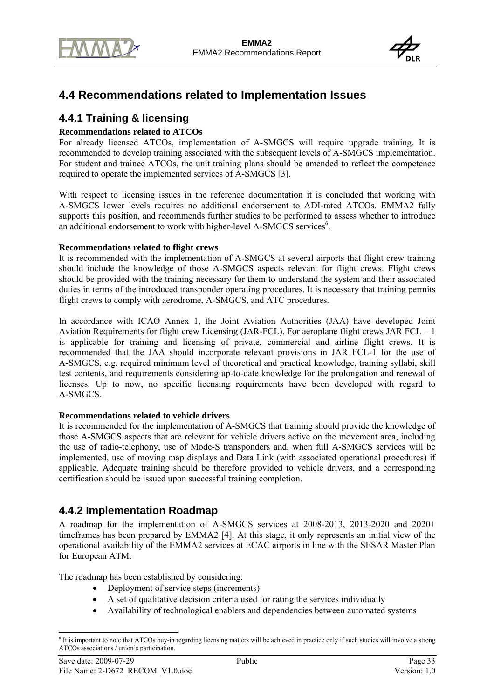



# **4.4 Recommendations related to Implementation Issues**

## **4.4.1 Training & licensing**

#### **Recommendations related to ATCOs**

For already licensed ATCOs, implementation of A-SMGCS will require upgrade training. It is recommended to develop training associated with the subsequent levels of A-SMGCS implementation. For student and trainee ATCOs, the unit training plans should be amended to reflect the competence required to operate the implemented services of A-SMGCS [3].

With respect to licensing issues in the reference documentation it is concluded that working with A-SMGCS lower levels requires no additional endorsement to ADI-rated ATCOs. EMMA2 fully supports this position, and recommends further studies to be performed to assess whether to introduce an additional endorsement to work with higher-level A-SMGCS services<sup>6</sup>.

#### **Recommendations related to flight crews**

It is recommended with the implementation of A-SMGCS at several airports that flight crew training should include the knowledge of those A-SMGCS aspects relevant for flight crews. Flight crews should be provided with the training necessary for them to understand the system and their associated duties in terms of the introduced transponder operating procedures. It is necessary that training permits flight crews to comply with aerodrome, A-SMGCS, and ATC procedures.

In accordance with ICAO Annex 1, the Joint Aviation Authorities (JAA) have developed Joint Aviation Requirements for flight crew Licensing (JAR-FCL). For aeroplane flight crews JAR FCL – 1 is applicable for training and licensing of private, commercial and airline flight crews. It is recommended that the JAA should incorporate relevant provisions in JAR FCL-1 for the use of A-SMGCS, e.g. required minimum level of theoretical and practical knowledge, training syllabi, skill test contents, and requirements considering up-to-date knowledge for the prolongation and renewal of licenses. Up to now, no specific licensing requirements have been developed with regard to A-SMGCS.

#### **Recommendations related to vehicle drivers**

It is recommended for the implementation of A-SMGCS that training should provide the knowledge of those A-SMGCS aspects that are relevant for vehicle drivers active on the movement area, including the use of radio-telephony, use of Mode-S transponders and, when full A-SMGCS services will be implemented, use of moving map displays and Data Link (with associated operational procedures) if applicable. Adequate training should be therefore provided to vehicle drivers, and a corresponding certification should be issued upon successful training completion.

## **4.4.2 Implementation Roadmap**

A roadmap for the implementation of A-SMGCS services at 2008-2013, 2013-2020 and 2020+ timeframes has been prepared by EMMA2 [4]. At this stage, it only represents an initial view of the operational availability of the EMMA2 services at ECAC airports in line with the SESAR Master Plan for European ATM.

The roadmap has been established by considering:

- Deployment of service steps (increments)
- A set of qualitative decision criteria used for rating the services individually
- Availability of technological enablers and dependencies between automated systems

l <sup>6</sup> It is important to note that ATCOs buy-in regarding licensing matters will be achieved in practice only if such studies will involve a strong ATCOs associations / union's participation.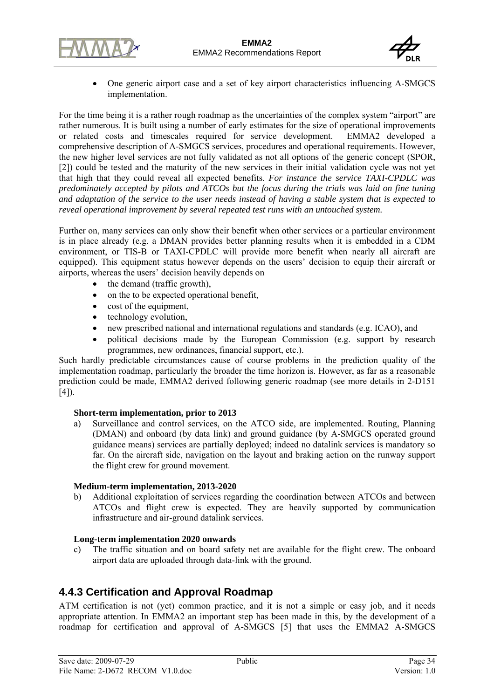



• One generic airport case and a set of key airport characteristics influencing A-SMGCS implementation.

For the time being it is a rather rough roadmap as the uncertainties of the complex system "airport" are rather numerous. It is built using a number of early estimates for the size of operational improvements or related costs and timescales required for service development. EMMA2 developed a comprehensive description of A-SMGCS services, procedures and operational requirements. However, the new higher level services are not fully validated as not all options of the generic concept (SPOR, [2]) could be tested and the maturity of the new services in their initial validation cycle was not yet that high that they could reveal all expected benefits. *For instance the service TAXI-CPDLC was predominately accepted by pilots and ATCOs but the focus during the trials was laid on fine tuning and adaptation of the service to the user needs instead of having a stable system that is expected to reveal operational improvement by several repeated test runs with an untouched system.*

Further on, many services can only show their benefit when other services or a particular environment is in place already (e.g. a DMAN provides better planning results when it is embedded in a CDM environment, or TIS-B or TAXI-CPDLC will provide more benefit when nearly all aircraft are equipped). This equipment status however depends on the users' decision to equip their aircraft or airports, whereas the users' decision heavily depends on

- the demand (traffic growth),
- on the to be expected operational benefit,
- cost of the equipment,
- technology evolution.
- new prescribed national and international regulations and standards (e.g. ICAO), and
- political decisions made by the European Commission (e.g. support by research programmes, new ordinances, financial support, etc.).

Such hardly predictable circumstances cause of course problems in the prediction quality of the implementation roadmap, particularly the broader the time horizon is. However, as far as a reasonable prediction could be made, EMMA2 derived following generic roadmap (see more details in 2-D151  $[4]$ ).

#### **Short-term implementation, prior to 2013**

a) Surveillance and control services, on the ATCO side, are implemented. Routing, Planning (DMAN) and onboard (by data link) and ground guidance (by A-SMGCS operated ground guidance means) services are partially deployed; indeed no datalink services is mandatory so far. On the aircraft side, navigation on the layout and braking action on the runway support the flight crew for ground movement.

#### **Medium-term implementation, 2013-2020**

b) Additional exploitation of services regarding the coordination between ATCOs and between ATCOs and flight crew is expected. They are heavily supported by communication infrastructure and air-ground datalink services.

#### **Long-term implementation 2020 onwards**

c) The traffic situation and on board safety net are available for the flight crew. The onboard airport data are uploaded through data-link with the ground.

## **4.4.3 Certification and Approval Roadmap**

ATM certification is not (yet) common practice, and it is not a simple or easy job, and it needs appropriate attention. In EMMA2 an important step has been made in this, by the development of a roadmap for certification and approval of A-SMGCS [5] that uses the EMMA2 A-SMGCS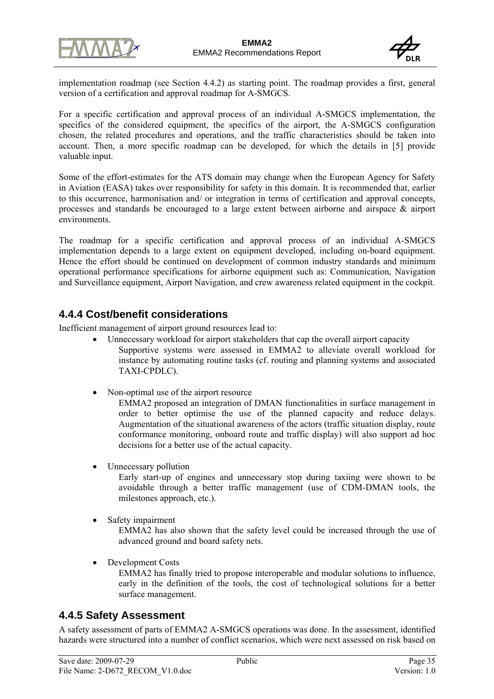



implementation roadmap (see Section 4.4.2) as starting point. The roadmap provides a first, general version of a certification and approval roadmap for A-SMGCS.

For a specific certification and approval process of an individual A-SMGCS implementation, the specifics of the considered equipment, the specifics of the airport, the A-SMGCS configuration chosen, the related procedures and operations, and the traffic characteristics should be taken into account. Then, a more specific roadmap can be developed, for which the details in [5] provide valuable input.

Some of the effort-estimates for the ATS domain may change when the European Agency for Safety in Aviation (EASA) takes over responsibility for safety in this domain. It is recommended that, earlier to this occurrence, harmonisation and/ or integration in terms of certification and approval concepts, processes and standards be encouraged to a large extent between airborne and airspace & airport environments.

The roadmap for a specific certification and approval process of an individual A-SMGCS implementation depends to a large extent on equipment developed, including on-board equipment. Hence the effort should be continued on development of common industry standards and minimum operational performance specifications for airborne equipment such as: Communication, Navigation and Surveillance equipment, Airport Navigation, and crew awareness related equipment in the cockpit.

## **4.4.4 Cost/benefit considerations**

Inefficient management of airport ground resources lead to:

- Unnecessary workload for airport stakeholders that cap the overall airport capacity Supportive systems were assessed in EMMA2 to alleviate overall workload for instance by automating routine tasks (cf. routing and planning systems and associated TAXI-CPDLC).
- Non-optimal use of the airport resource

EMMA2 proposed an integration of DMAN functionalities in surface management in order to better optimise the use of the planned capacity and reduce delays. Augmentation of the situational awareness of the actors (traffic situation display, route conformance monitoring, onboard route and traffic display) will also support ad hoc decisions for a better use of the actual capacity.

Unnecessary pollution

Early start-up of engines and unnecessary stop during taxiing were shown to be avoidable through a better traffic management (use of CDM-DMAN tools, the milestones approach, etc.).

Safety impairment

EMMA2 has also shown that the safety level could be increased through the use of advanced ground and board safety nets.

• Development Costs

EMMA2 has finally tried to propose interoperable and modular solutions to influence, early in the definition of the tools, the cost of technological solutions for a better surface management.

## **4.4.5 Safety Assessment**

A safety assessment of parts of EMMA2 A-SMGCS operations was done. In the assessment, identified hazards were structured into a number of conflict scenarios, which were next assessed on risk based on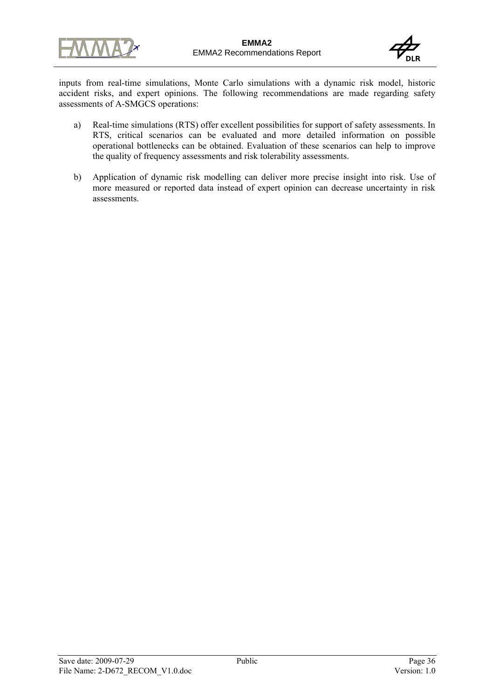



inputs from real-time simulations, Monte Carlo simulations with a dynamic risk model, historic accident risks, and expert opinions. The following recommendations are made regarding safety assessments of A-SMGCS operations:

- a) Real-time simulations (RTS) offer excellent possibilities for support of safety assessments. In RTS, critical scenarios can be evaluated and more detailed information on possible operational bottlenecks can be obtained. Evaluation of these scenarios can help to improve the quality of frequency assessments and risk tolerability assessments.
- b) Application of dynamic risk modelling can deliver more precise insight into risk. Use of more measured or reported data instead of expert opinion can decrease uncertainty in risk assessments.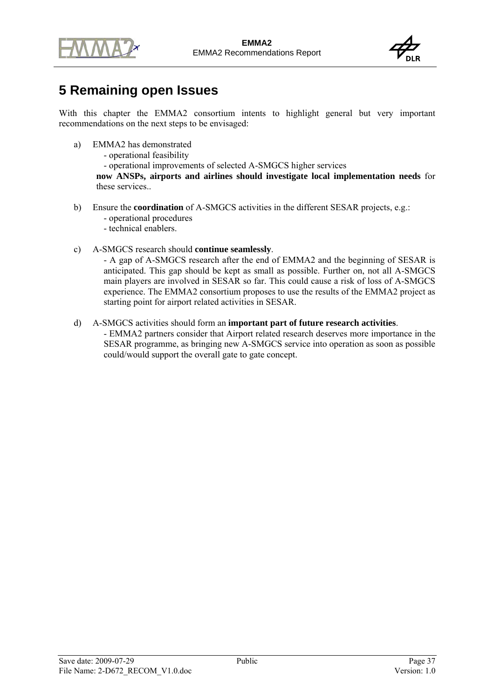



# **5 Remaining open Issues**

With this chapter the EMMA2 consortium intents to highlight general but very important recommendations on the next steps to be envisaged:

- a) EMMA2 has demonstrated
	- operational feasibility

- operational improvements of selected A-SMGCS higher services

**now ANSPs, airports and airlines should investigate local implementation needs** for these services..

- b) Ensure the **coordination** of A-SMGCS activities in the different SESAR projects, e.g.:
	- operational procedures
	- technical enablers.
- c) A-SMGCS research should **continue seamlessly**.

- A gap of A-SMGCS research after the end of EMMA2 and the beginning of SESAR is anticipated. This gap should be kept as small as possible. Further on, not all A-SMGCS main players are involved in SESAR so far. This could cause a risk of loss of A-SMGCS experience. The EMMA2 consortium proposes to use the results of the EMMA2 project as starting point for airport related activities in SESAR.

d) A-SMGCS activities should form an **important part of future research activities**.

- EMMA2 partners consider that Airport related research deserves more importance in the SESAR programme, as bringing new A-SMGCS service into operation as soon as possible could/would support the overall gate to gate concept.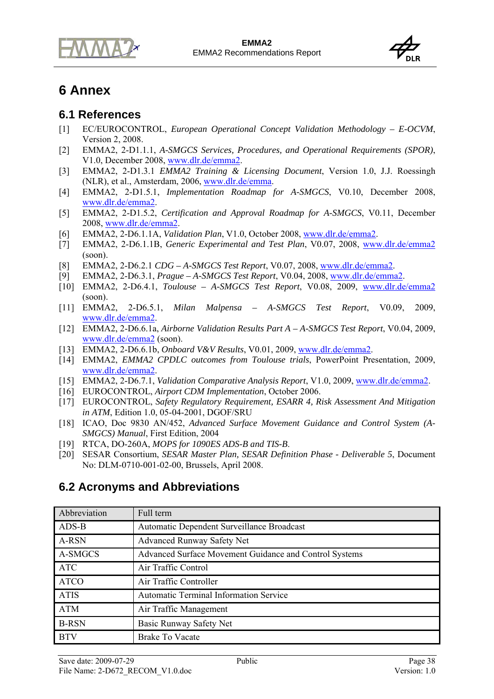



# **6 Annex**

## **6.1 References**

- [1] EC/EUROCONTROL, *European Operational Concept Validation Methodology E-OCVM*, Version 2, 2008.
- [2] EMMA2, 2-D1.1.1, *A-SMGCS Services, Procedures, and Operational Requirements (SPOR)*, V1.0, December 2008, www.dlr.de/emma2.
- [3] EMMA2, 2-D1.3.1 *EMMA2 Training & Licensing Document*, Version 1.0, J.J. Roessingh (NLR), et al., Amsterdam, 2006, www.dlr.de/emma.
- [4] EMMA2, 2-D1.5.1, *Implementation Roadmap for A-SMGCS*, V0.10, December 2008, www.dlr.de/emma2.
- [5] EMMA2, 2-D1.5.2, *Certification and Approval Roadmap for A-SMGCS*, V0.11, December 2008, www.dlr.de/emma2.
- [6] EMMA2, 2-D6.1.1A, *Validation Plan*, V1.0, October 2008, www.dlr.de/emma2.
- [7] EMMA2, 2-D6.1.1B, *Generic Experimental and Test Plan*, V0.07, 2008, www.dlr.de/emma2 (soon).
- [8] EMMA2, 2-D6.2.1 *CDG A-SMGCS Test Report*, V0.07, 2008, www.dlr.de/emma2.
- [9] EMMA2, 2-D6.3.1, *Prague A-SMGCS Test Report*, V0.04, 2008, www.dlr.de/emma2.
- [10] EMMA2, 2-D6.4.1, *Toulouse A-SMGCS Test Report*, V0.08, 2009, www.dlr.de/emma2 (soon).
- [11] EMMA2, 2-D6.5.1, *Milan Malpensa A-SMGCS Test Report*, V0.09, 2009, www.dlr.de/emma2.
- [12] EMMA2, 2-D6.6.1a, *Airborne Validation Results Part A A-SMGCS Test Report*, V0.04, 2009, www.dlr.de/emma2 (soon).
- [13] EMMA2, 2-D6.6.1b, *Onboard V&V Results*, V0.01, 2009, www.dlr.de/emma2.
- [14] EMMA2, *EMMA2 CPDLC outcomes from Toulouse trials*, PowerPoint Presentation, 2009, www.dlr.de/emma2.
- [15] EMMA2, 2-D6.7.1, *Validation Comparative Analysis Report*, V1.0, 2009, www.dlr.de/emma2.
- [16] EUROCONTROL, *Airport CDM Implementation*, October 2006.
- [17] EUROCONTROL, *Safety Regulatory Requirement, ESARR 4, Risk Assessment And Mitigation in ATM*, Edition 1.0, 05-04-2001, DGOF/SRU
- [18] ICAO, Doc 9830 AN/452, *Advanced Surface Movement Guidance and Control System (A-SMGCS) Manual*, First Edition, 2004
- [19] RTCA, DO-260A, *MOPS for 1090ES ADS-B and TIS-B*.
- [20] SESAR Consortium, *SESAR Master Plan, SESAR Definition Phase Deliverable 5*, Document No: DLM-0710-001-02-00, Brussels, April 2008.

# **6.2 Acronyms and Abbreviations**

| Abbreviation | Full term                                              |
|--------------|--------------------------------------------------------|
| ADS-B        | Automatic Dependent Surveillance Broadcast             |
| A-RSN        | <b>Advanced Runway Safety Net</b>                      |
| A-SMGCS      | Advanced Surface Movement Guidance and Control Systems |
| ATC          | Air Traffic Control                                    |
| <b>ATCO</b>  | Air Traffic Controller                                 |
| <b>ATIS</b>  | <b>Automatic Terminal Information Service</b>          |
| <b>ATM</b>   | Air Traffic Management                                 |
| <b>B-RSN</b> | Basic Runway Safety Net                                |
| <b>BTV</b>   | <b>Brake To Vacate</b>                                 |